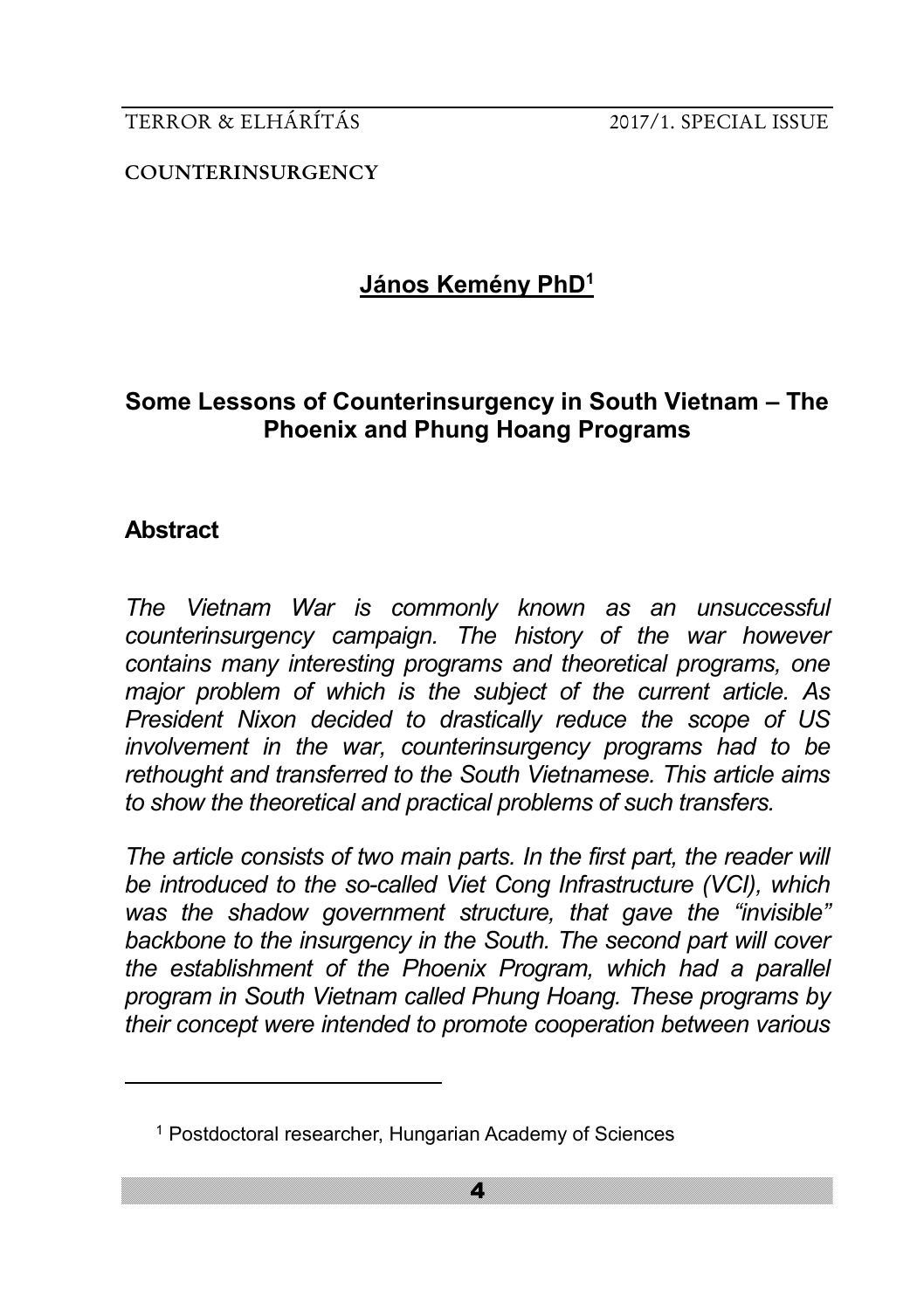**COUNTERINSURGENCY**

# **János Kemény PhD<sup>1</sup>**

# **Some Lessons of Counterinsurgency in South Vietnam – The Phoenix and Phung Hoang Programs**

# **Abstract**

<u>.</u>

*The Vietnam War is commonly known as an unsuccessful counterinsurgency campaign. The history of the war however contains many interesting programs and theoretical programs, one major problem of which is the subject of the current article. As President Nixon decided to drastically reduce the scope of US involvement in the war, counterinsurgency programs had to be rethought and transferred to the South Vietnamese. This article aims to show the theoretical and practical problems of such transfers.* 

*The article consists of two main parts. In the first part, the reader will be introduced to the so-called Viet Cong Infrastructure (VCI), which was the shadow government structure, that gave the "invisible" backbone to the insurgency in the South. The second part will cover the establishment of the Phoenix Program, which had a parallel program in South Vietnam called Phung Hoang. These programs by their concept were intended to promote cooperation between various* 

<sup>1</sup> Postdoctoral researcher, Hungarian Academy of Sciences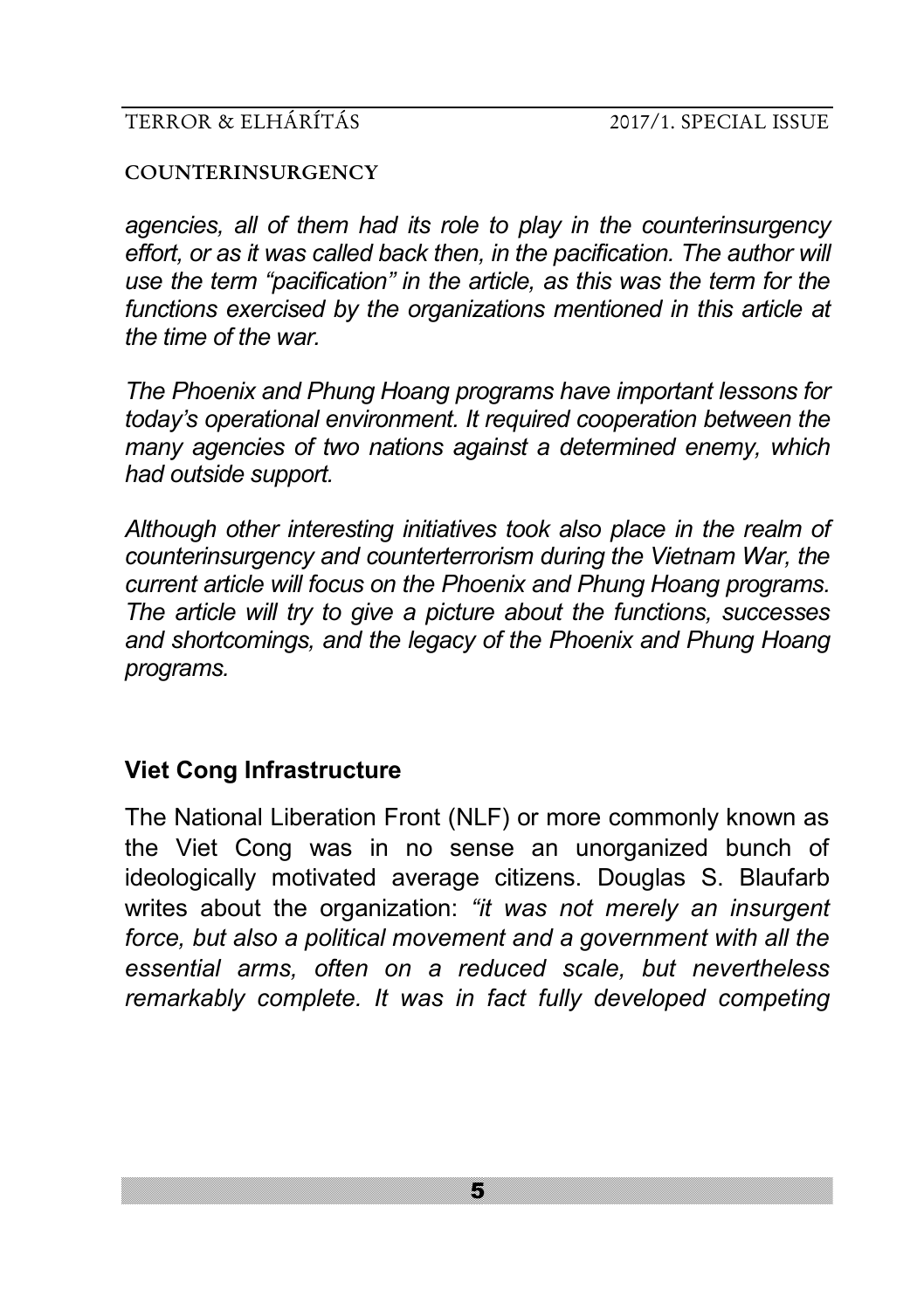#### **COUNTERINSURGENCY**

*agencies, all of them had its role to play in the counterinsurgency*  effort, or as it was called back then, in the pacification. The author will *use the term "pacification" in the article, as this was the term for the functions exercised by the organizations mentioned in this article at the time of the war.* 

*The Phoenix and Phung Hoang programs have important lessons for today's operational environment. It required cooperation between the many agencies of two nations against a determined enemy, which had outside support.* 

*Although other interesting initiatives took also place in the realm of counterinsurgency and counterterrorism during the Vietnam War, the current article will focus on the Phoenix and Phung Hoang programs. The article will try to give a picture about the functions, successes and shortcomings, and the legacy of the Phoenix and Phung Hoang programs.* 

# **Viet Cong Infrastructure**

The National Liberation Front (NLF) or more commonly known as the Viet Cong was in no sense an unorganized bunch of ideologically motivated average citizens. Douglas S. Blaufarb writes about the organization: *"it was not merely an insurgent force, but also a political movement and a government with all the essential arms, often on a reduced scale, but nevertheless remarkably complete. It was in fact fully developed competing*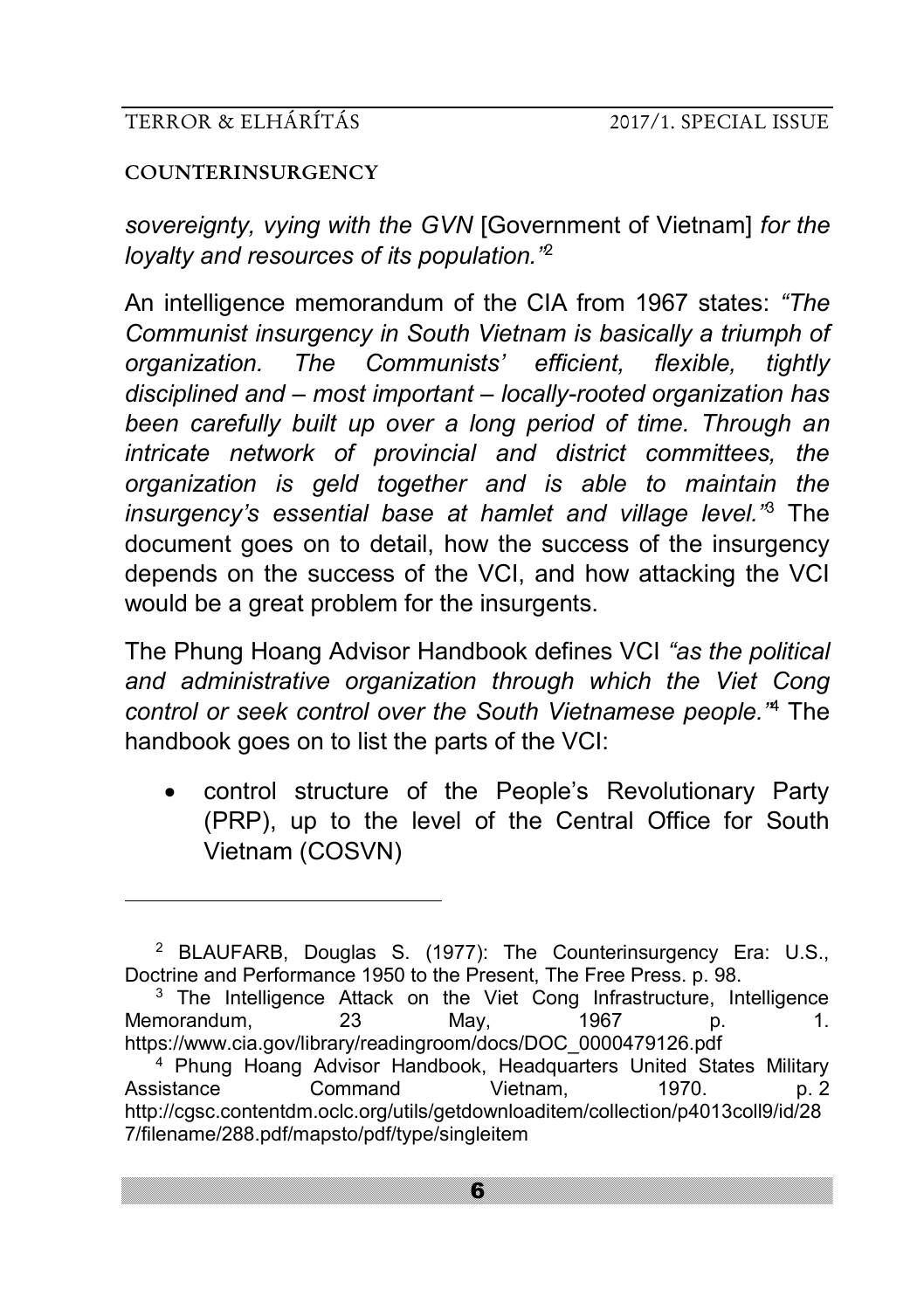#### **COUNTERINSURGENCY**

<u>.</u>

*sovereignty, vying with the GVN* [Government of Vietnam] *for the loyalty and resources of its population."*<sup>2</sup>

An intelligence memorandum of the CIA from 1967 states: *"The Communist insurgency in South Vietnam is basically a triumph of organization. The Communists' efficient, flexible, tightly disciplined and – most important – locally-rooted organization has been carefully built up over a long period of time. Through an intricate network of provincial and district committees, the organization is geld together and is able to maintain the insurgency's essential base at hamlet and village level."*<sup>3</sup> The document goes on to detail, how the success of the insurgency depends on the success of the VCI, and how attacking the VCI would be a great problem for the insurgents.

The Phung Hoang Advisor Handbook defines VCI *"as the political and administrative organization through which the Viet Cong control or seek control over the South Vietnamese people."*<sup>4</sup> The handbook goes on to list the parts of the VCI:

• control structure of the People's Revolutionary Party (PRP), up to the level of the Central Office for South Vietnam (COSVN)

<sup>2</sup> BLAUFARB, Douglas S. (1977): The Counterinsurgency Era: U.S., Doctrine and Performance 1950 to the Present, The Free Press. p. 98.

<sup>&</sup>lt;sup>3</sup> The Intelligence Attack on the Viet Cong Infrastructure, Intelligence Memorandum, 23 May, 1967 p. 1. https://www.cia.gov/library/readingroom/docs/DOC\_0000479126.pdf

<sup>4</sup> Phung Hoang Advisor Handbook, Headquarters United States Military Assistance Command Vietnam, 1970. p. 2 http://cgsc.contentdm.oclc.org/utils/getdownloaditem/collection/p4013coll9/id/28 7/filename/288.pdf/mapsto/pdf/type/singleitem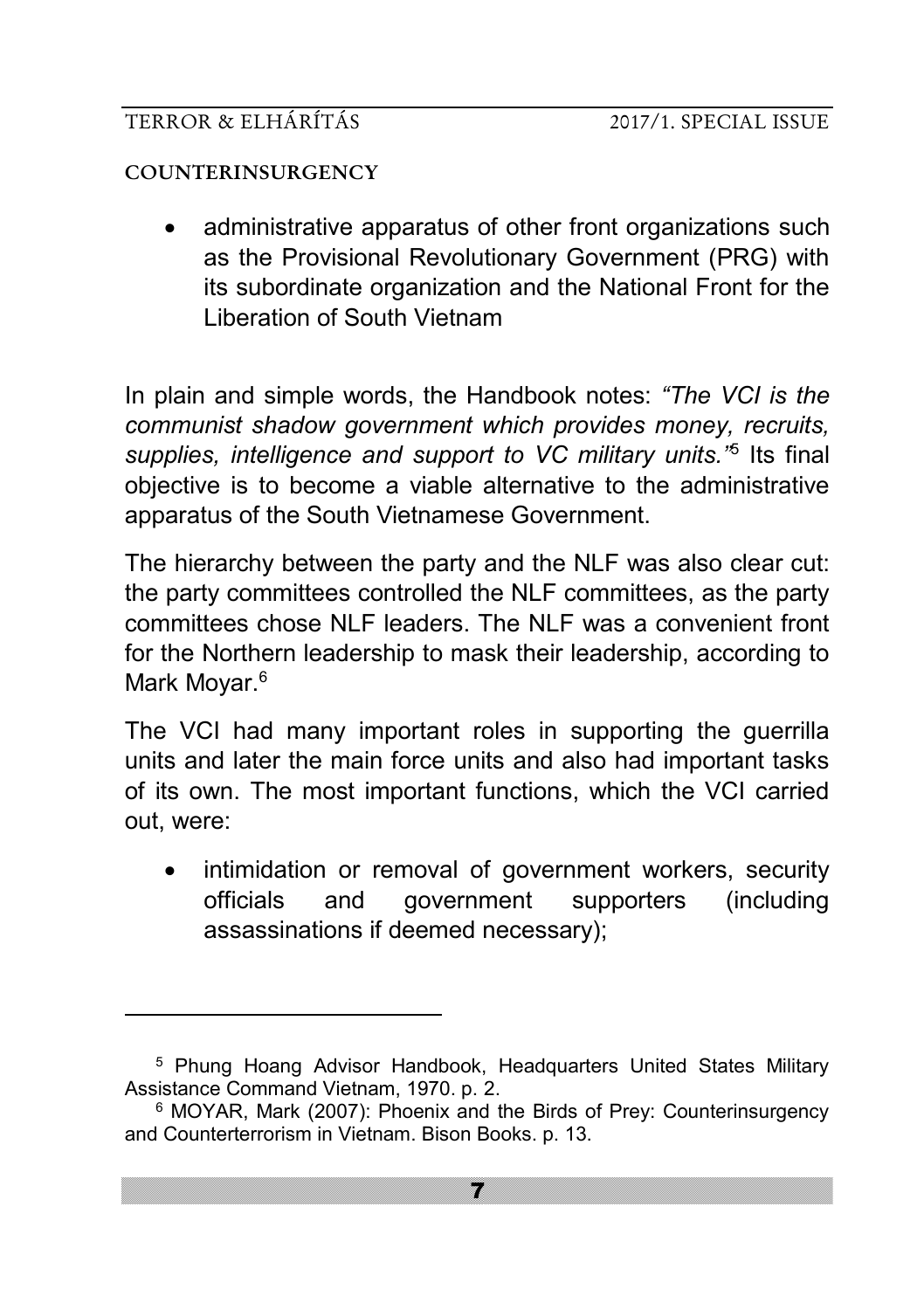#### **COUNTERINSURGENCY**

-

• administrative apparatus of other front organizations such as the Provisional Revolutionary Government (PRG) with its subordinate organization and the National Front for the Liberation of South Vietnam

In plain and simple words, the Handbook notes: *"The VCI is the communist shadow government which provides money, recruits, supplies, intelligence and support to VC military units."*<sup>5</sup> Its final objective is to become a viable alternative to the administrative apparatus of the South Vietnamese Government.

The hierarchy between the party and the NLF was also clear cut: the party committees controlled the NLF committees, as the party committees chose NLF leaders. The NLF was a convenient front for the Northern leadership to mask their leadership, according to Mark Moyar.<sup>6</sup>

The VCI had many important roles in supporting the guerrilla units and later the main force units and also had important tasks of its own. The most important functions, which the VCI carried out, were:

intimidation or removal of government workers, security officials and government supporters (including assassinations if deemed necessary);

<sup>&</sup>lt;sup>5</sup> Phung Hoang Advisor Handbook, Headquarters United States Military Assistance Command Vietnam, 1970. p. 2.

<sup>6</sup> MOYAR, Mark (2007): Phoenix and the Birds of Prey: Counterinsurgency and Counterterrorism in Vietnam. Bison Books. p. 13.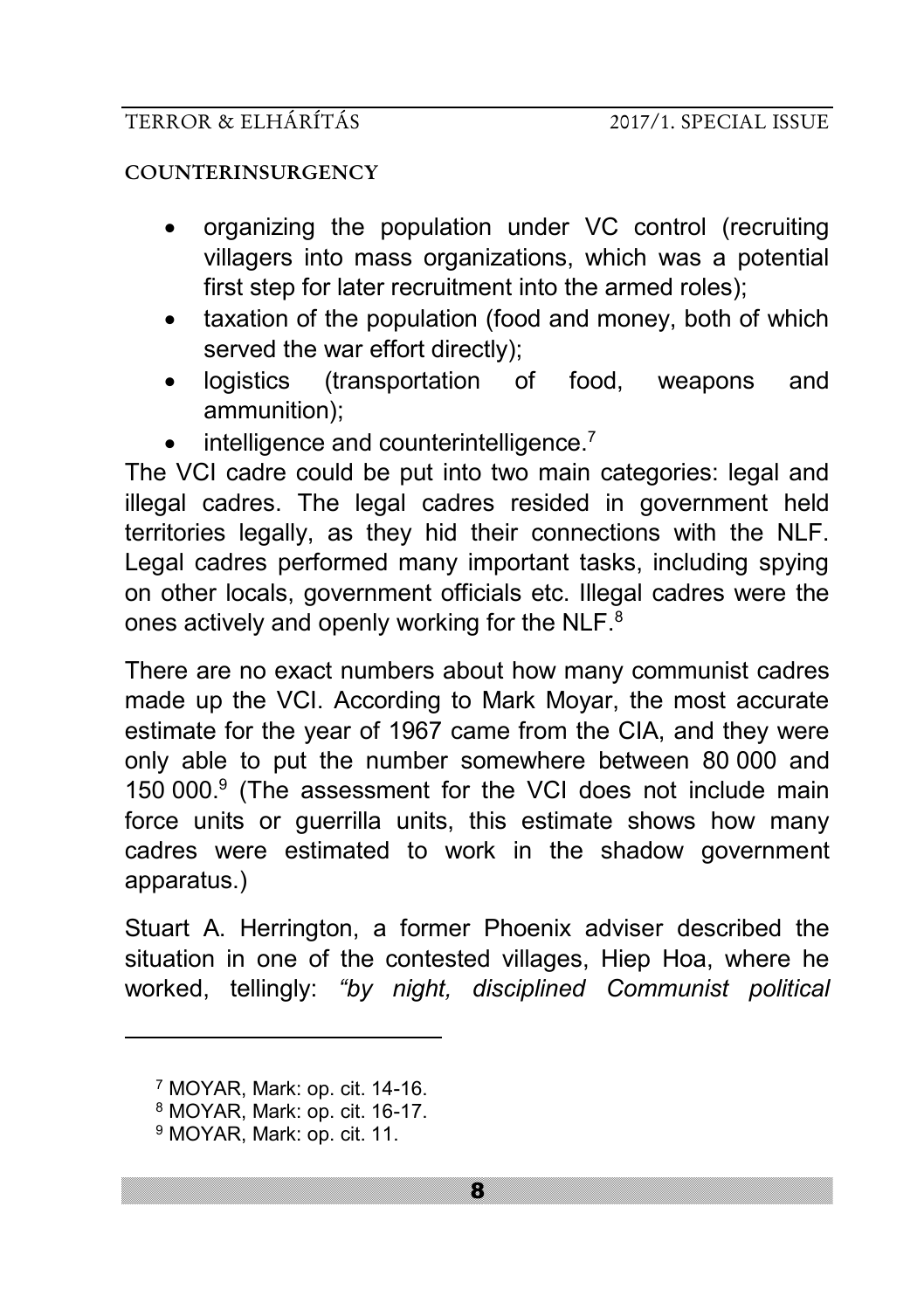#### **COUNTERINSURGENCY**

- organizing the population under VC control (recruiting villagers into mass organizations, which was a potential first step for later recruitment into the armed roles):
- taxation of the population (food and money, both of which served the war effort directly);
- logistics (transportation of food, weapons and ammunition);
- intelligence and counterintelligence.<sup>7</sup>

The VCI cadre could be put into two main categories: legal and illegal cadres. The legal cadres resided in government held territories legally, as they hid their connections with the NLF. Legal cadres performed many important tasks, including spying on other locals, government officials etc. Illegal cadres were the ones actively and openly working for the NLF.<sup>8</sup>

There are no exact numbers about how many communist cadres made up the VCI. According to Mark Moyar, the most accurate estimate for the year of 1967 came from the CIA, and they were only able to put the number somewhere between 80 000 and 150 000.<sup>9</sup> (The assessment for the VCI does not include main force units or guerrilla units, this estimate shows how many cadres were estimated to work in the shadow government apparatus.)

Stuart A. Herrington, a former Phoenix adviser described the situation in one of the contested villages, Hiep Hoa, where he worked, tellingly: *"by night, disciplined Communist political* 

<sup>7</sup> MOYAR, Mark: op. cit. 14-16.

<sup>8</sup> MOYAR, Mark: op. cit. 16-17.

<sup>9</sup> MOYAR, Mark: op. cit. 11.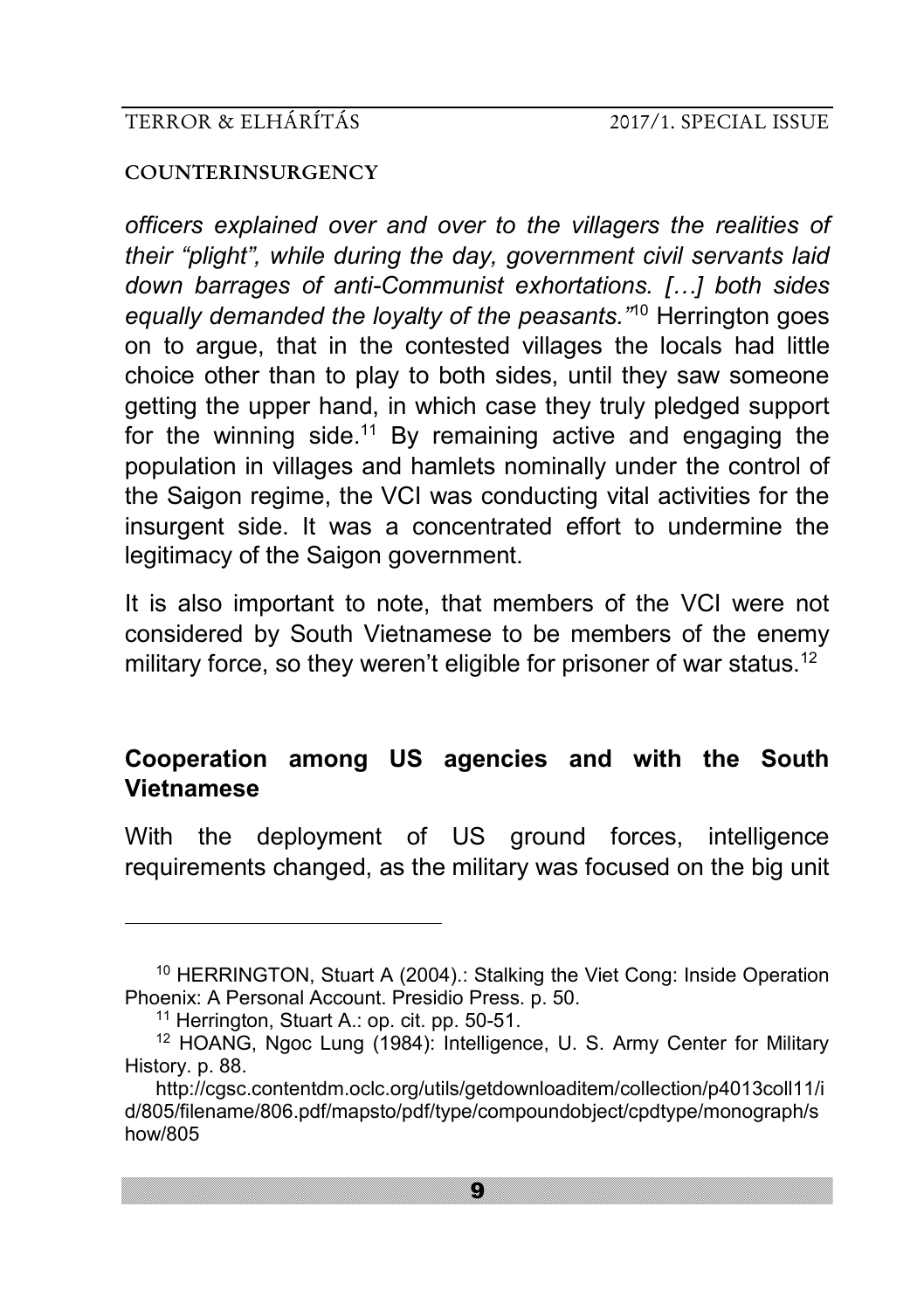#### **COUNTERINSURGENCY**

*officers explained over and over to the villagers the realities of their "plight", while during the day, government civil servants laid down barrages of anti-Communist exhortations. […] both sides equally demanded the loyalty of the peasants."*<sup>10</sup> Herrington goes on to argue, that in the contested villages the locals had little choice other than to play to both sides, until they saw someone getting the upper hand, in which case they truly pledged support for the winning side.<sup>11</sup> By remaining active and engaging the population in villages and hamlets nominally under the control of the Saigon regime, the VCI was conducting vital activities for the insurgent side. It was a concentrated effort to undermine the legitimacy of the Saigon government.

It is also important to note, that members of the VCI were not considered by South Vietnamese to be members of the enemy military force, so they weren't eligible for prisoner of war status.<sup>12</sup>

# **Cooperation among US agencies and with the South Vietnamese**

With the deployment of US ground forces, intelligence requirements changed, as the military was focused on the big unit

<sup>10</sup> HERRINGTON, Stuart A (2004).: Stalking the Viet Cong: Inside Operation Phoenix: A Personal Account. Presidio Press. p. 50.

<sup>11</sup> Herrington, Stuart A.: op. cit. pp. 50-51.

<sup>12</sup> HOANG, Ngoc Lung (1984): Intelligence, U. S. Army Center for Military History. p. 88.

http://cgsc.contentdm.oclc.org/utils/getdownloaditem/collection/p4013coll11/i d/805/filename/806.pdf/mapsto/pdf/type/compoundobject/cpdtype/monograph/s how/805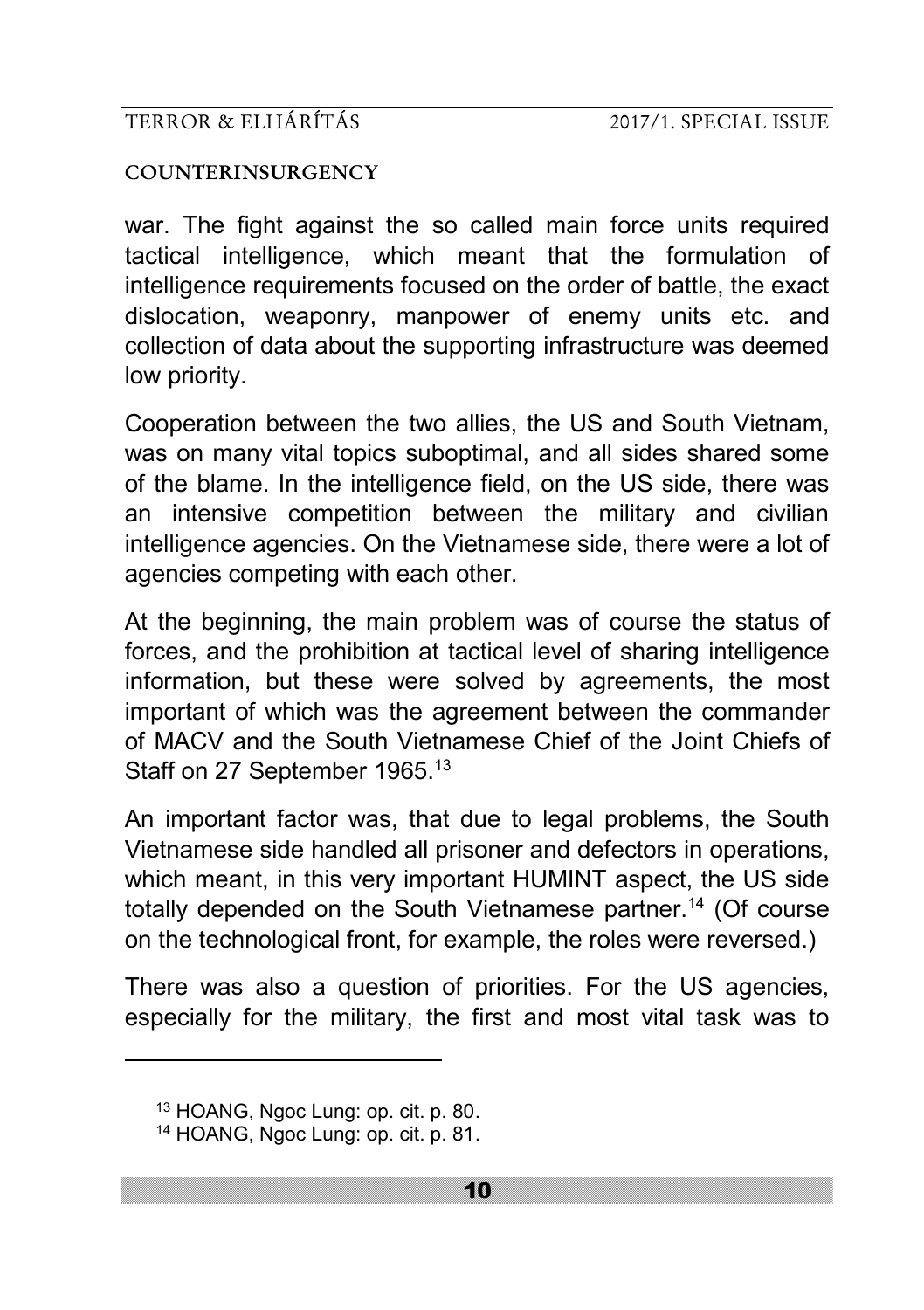#### **COUNTERINSURGENCY**

war. The fight against the so called main force units required tactical intelligence, which meant that the formulation of intelligence requirements focused on the order of battle, the exact dislocation, weaponry, manpower of enemy units etc. and collection of data about the supporting infrastructure was deemed low priority.

Cooperation between the two allies, the US and South Vietnam, was on many vital topics suboptimal, and all sides shared some of the blame. In the intelligence field, on the US side, there was an intensive competition between the military and civilian intelligence agencies. On the Vietnamese side, there were a lot of agencies competing with each other.

At the beginning, the main problem was of course the status of forces, and the prohibition at tactical level of sharing intelligence information, but these were solved by agreements, the most important of which was the agreement between the commander of MACV and the South Vietnamese Chief of the Joint Chiefs of Staff on 27 September 1965.<sup>13</sup>

An important factor was, that due to legal problems, the South Vietnamese side handled all prisoner and defectors in operations, which meant, in this very important HUMINT aspect, the US side totally depended on the South Vietnamese partner.<sup>14</sup> (Of course on the technological front, for example, the roles were reversed.)

There was also a question of priorities. For the US agencies, especially for the military, the first and most vital task was to

<sup>13</sup> HOANG, Ngoc Lung: op. cit. p. 80. <sup>14</sup> HOANG, Ngoc Lung: op. cit. p. 81.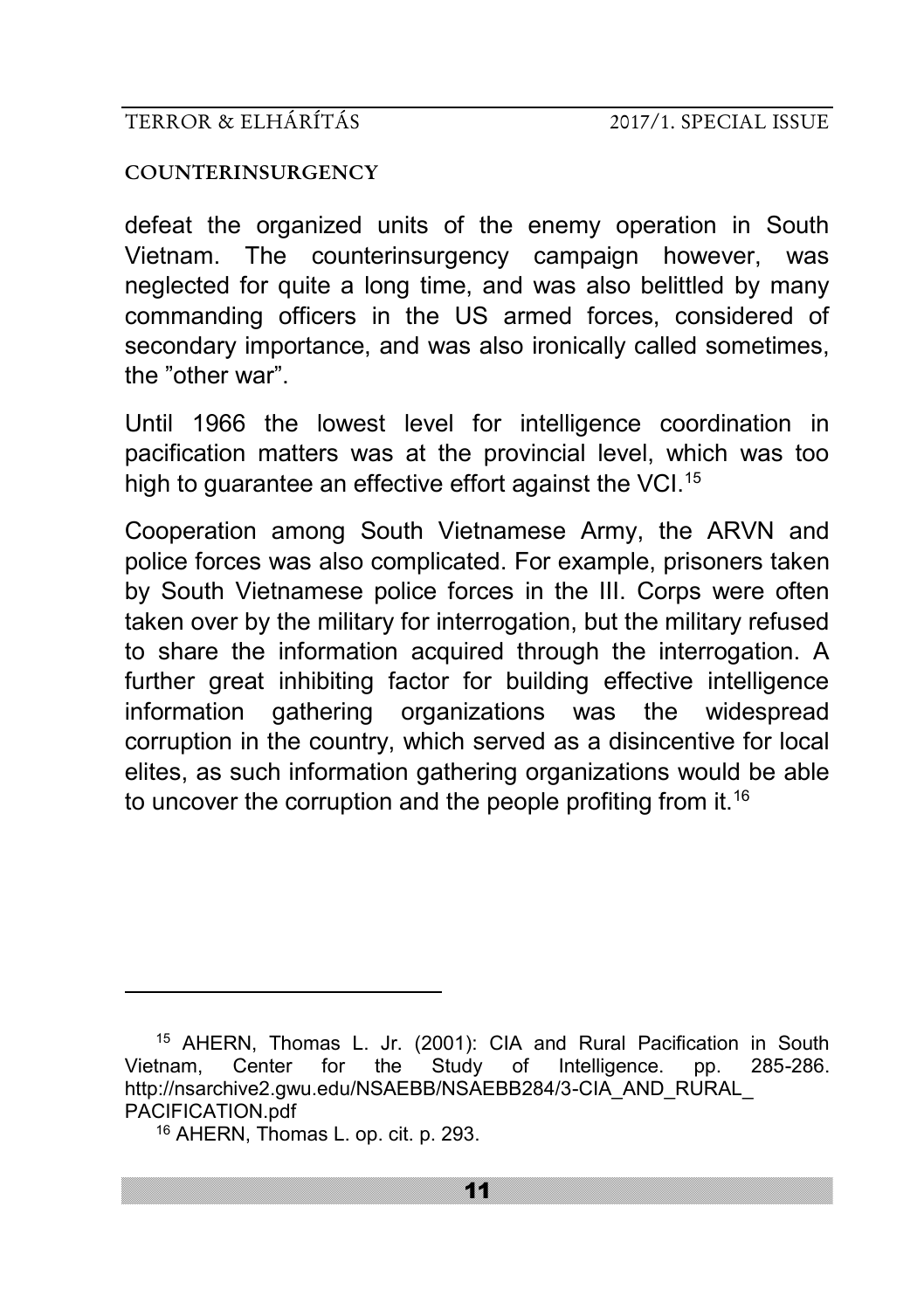#### **COUNTERINSURGENCY**

defeat the organized units of the enemy operation in South Vietnam. The counterinsurgency campaign however, was neglected for quite a long time, and was also belittled by many commanding officers in the US armed forces, considered of secondary importance, and was also ironically called sometimes, the "other war".

Until 1966 the lowest level for intelligence coordination in pacification matters was at the provincial level, which was too high to quarantee an effective effort against the VCI.<sup>15</sup>

Cooperation among South Vietnamese Army, the ARVN and police forces was also complicated. For example, prisoners taken by South Vietnamese police forces in the III. Corps were often taken over by the military for interrogation, but the military refused to share the information acquired through the interrogation. A further great inhibiting factor for building effective intelligence information gathering organizations was the widespread corruption in the country, which served as a disincentive for local elites, as such information gathering organizations would be able to uncover the corruption and the people profiting from it.<sup>16</sup>

<sup>15</sup> AHERN, Thomas L. Jr. (2001): CIA and Rural Pacification in South Vietnam, Center for the Study of Intelligence. pp. 285-286. http://nsarchive2.gwu.edu/NSAEBB/NSAEBB284/3-CIA\_AND\_RURAL PACIFICATION.pdf

<sup>16</sup> AHERN, Thomas L. op. cit. p. 293.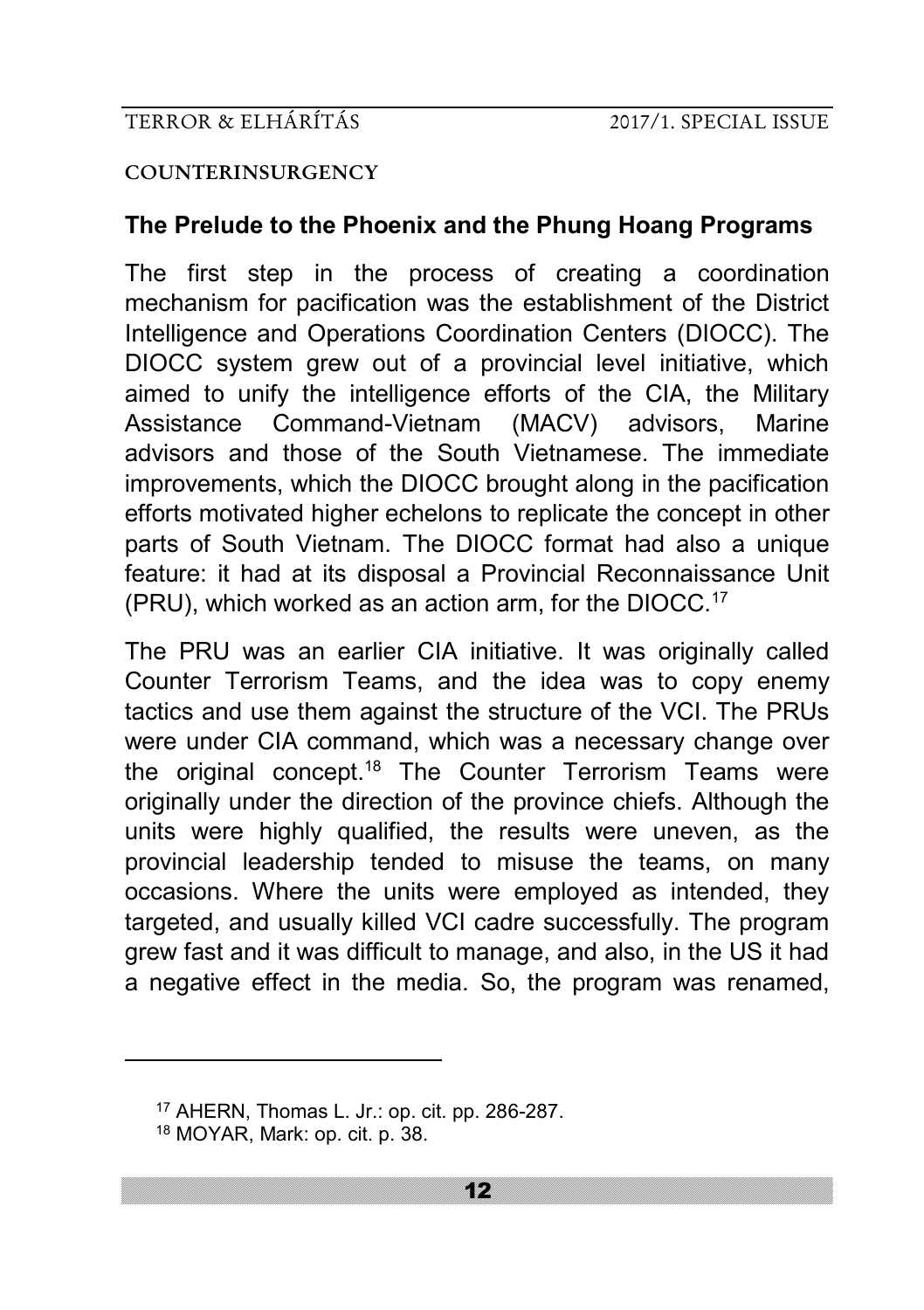#### **COUNTERINSURGENCY**

# **The Prelude to the Phoenix and the Phung Hoang Programs**

The first step in the process of creating a coordination mechanism for pacification was the establishment of the District Intelligence and Operations Coordination Centers (DIOCC). The DIOCC system grew out of a provincial level initiative, which aimed to unify the intelligence efforts of the CIA, the Military Assistance Command-Vietnam (MACV) advisors, Marine advisors and those of the South Vietnamese. The immediate improvements, which the DIOCC brought along in the pacification efforts motivated higher echelons to replicate the concept in other parts of South Vietnam. The DIOCC format had also a unique feature: it had at its disposal a Provincial Reconnaissance Unit (PRU), which worked as an action arm, for the DIOCC.<sup>17</sup>

The PRU was an earlier CIA initiative. It was originally called Counter Terrorism Teams, and the idea was to copy enemy tactics and use them against the structure of the VCI. The PRUs were under CIA command, which was a necessary change over the original concept.<sup>18</sup> The Counter Terrorism Teams were originally under the direction of the province chiefs. Although the units were highly qualified, the results were uneven, as the provincial leadership tended to misuse the teams, on many occasions. Where the units were employed as intended, they targeted, and usually killed VCI cadre successfully. The program grew fast and it was difficult to manage, and also, in the US it had a negative effect in the media. So, the program was renamed,

<sup>17</sup> AHERN, Thomas L. Jr.: op. cit. pp. 286-287.

<sup>18</sup> MOYAR, Mark: op. cit. p. 38.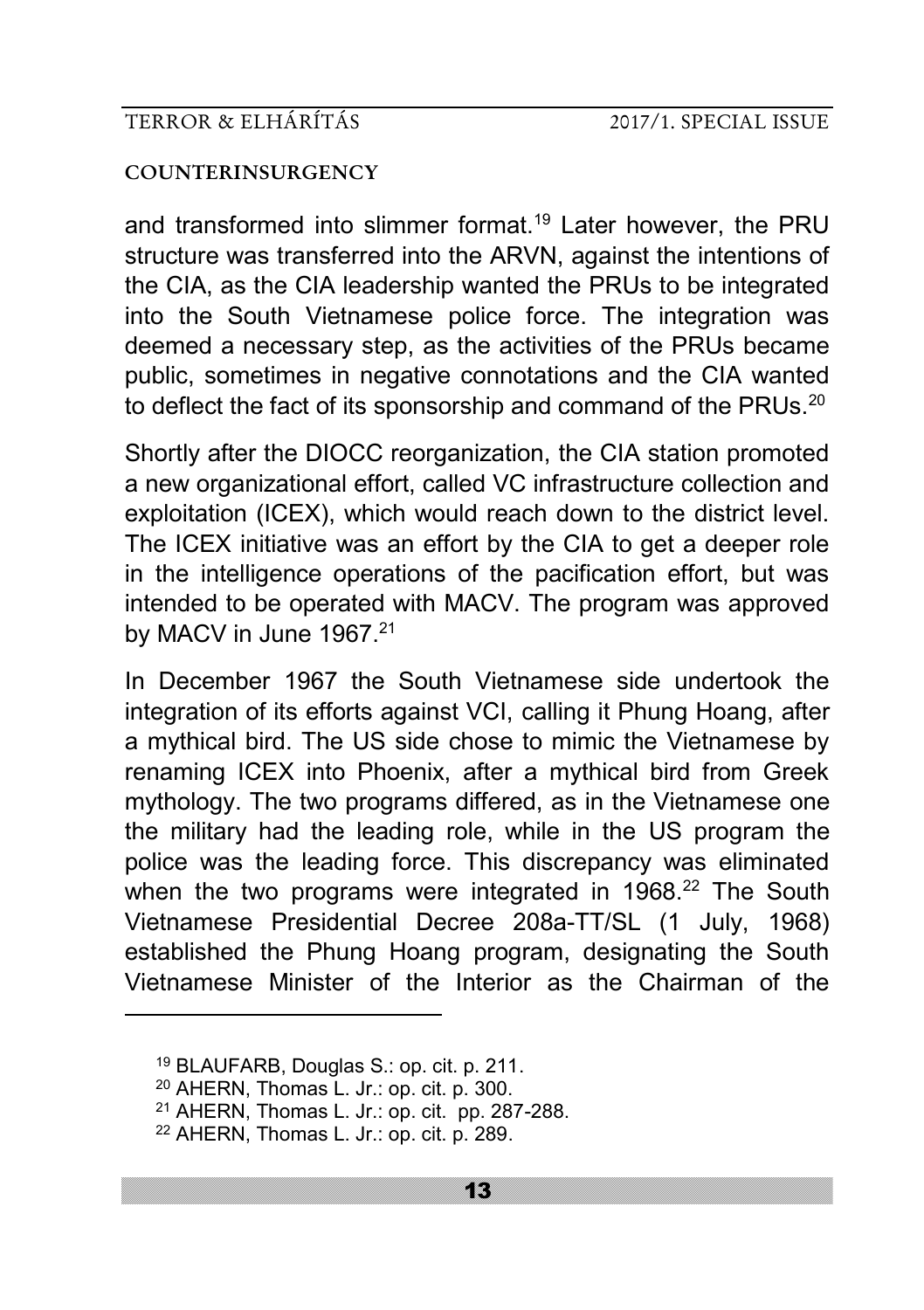#### **COUNTERINSURGENCY**

and transformed into slimmer format.<sup>19</sup> Later however, the PRU structure was transferred into the ARVN, against the intentions of the CIA, as the CIA leadership wanted the PRUs to be integrated into the South Vietnamese police force. The integration was deemed a necessary step, as the activities of the PRUs became public, sometimes in negative connotations and the CIA wanted to deflect the fact of its sponsorship and command of the PRUs.<sup>20</sup>

Shortly after the DIOCC reorganization, the CIA station promoted a new organizational effort, called VC infrastructure collection and exploitation (ICEX), which would reach down to the district level. The ICEX initiative was an effort by the CIA to get a deeper role in the intelligence operations of the pacification effort, but was intended to be operated with MACV. The program was approved by MACV in June 1967.<sup>21</sup>

In December 1967 the South Vietnamese side undertook the integration of its efforts against VCI, calling it Phung Hoang, after a mythical bird. The US side chose to mimic the Vietnamese by renaming ICEX into Phoenix, after a mythical bird from Greek mythology. The two programs differed, as in the Vietnamese one the military had the leading role, while in the US program the police was the leading force. This discrepancy was eliminated when the two programs were integrated in 1968.<sup>22</sup> The South Vietnamese Presidential Decree 208a-TT/SL (1 July, 1968) established the Phung Hoang program, designating the South Vietnamese Minister of the Interior as the Chairman of the

<sup>19</sup> BLAUFARB, Douglas S.: op. cit. p. 211.

<sup>20</sup> AHERN, Thomas L. Jr.: op. cit. p. 300.

<sup>21</sup> AHERN, Thomas L. Jr.: op. cit. pp. 287-288.

<sup>22</sup> AHERN, Thomas L. Jr.: op. cit. p. 289.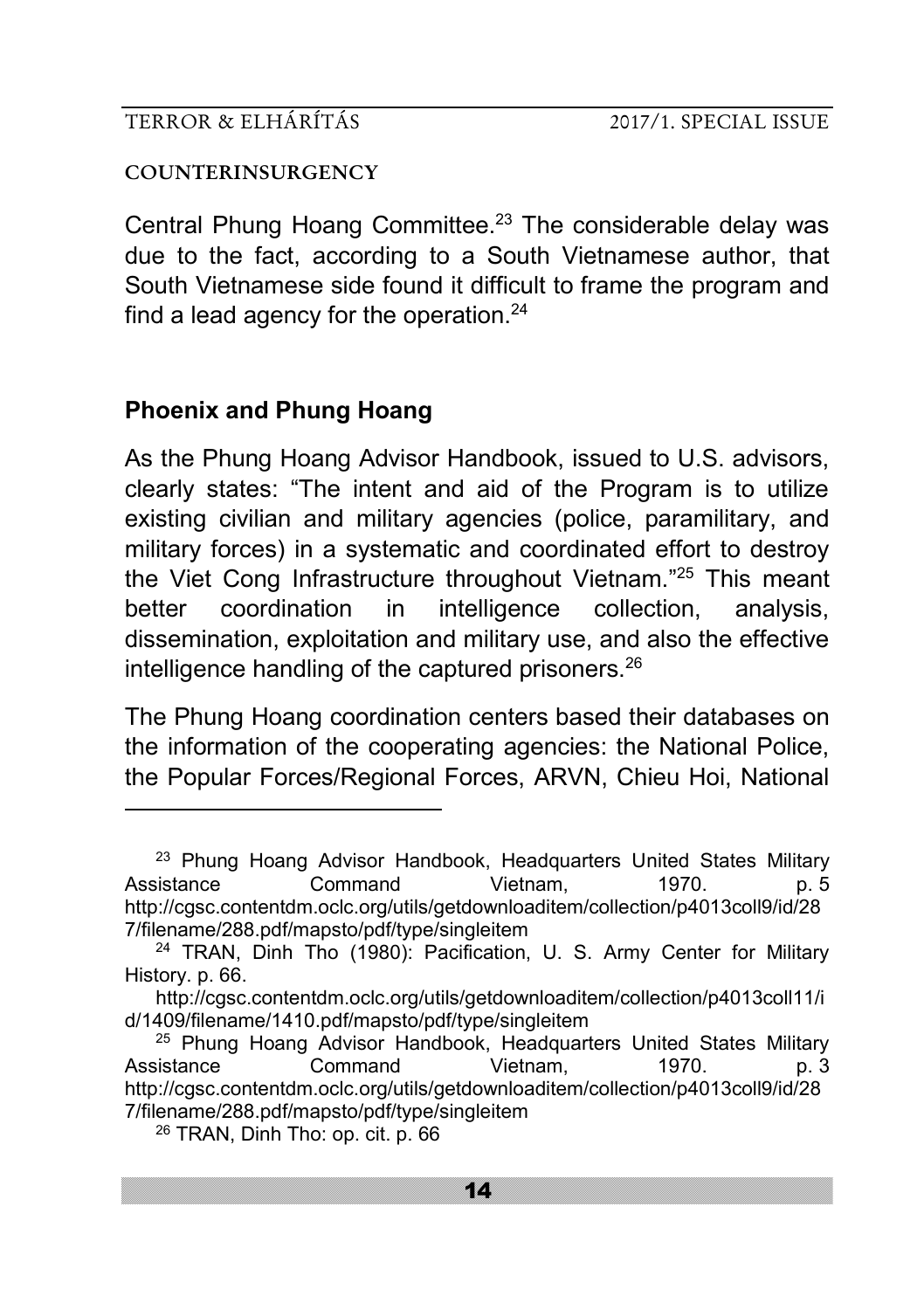#### **COUNTERINSURGENCY**

Central Phung Hoang Committee.<sup>23</sup> The considerable delay was due to the fact, according to a South Vietnamese author, that South Vietnamese side found it difficult to frame the program and find a lead agency for the operation.<sup>24</sup>

# **Phoenix and Phung Hoang**

-

As the Phung Hoang Advisor Handbook, issued to U.S. advisors, clearly states: "The intent and aid of the Program is to utilize existing civilian and military agencies (police, paramilitary, and military forces) in a systematic and coordinated effort to destroy the Viet Cong Infrastructure throughout Vietnam."<sup>25</sup> This meant better coordination in intelligence collection, analysis, dissemination, exploitation and military use, and also the effective intelligence handling of the captured prisoners.<sup>26</sup>

The Phung Hoang coordination centers based their databases on the information of the cooperating agencies: the National Police, the Popular Forces/Regional Forces, ARVN, Chieu Hoi, National

<sup>&</sup>lt;sup>23</sup> Phung Hoang Advisor Handbook, Headquarters United States Military Assistance Command Vietnam, 1970. p. 5 http://cgsc.contentdm.oclc.org/utils/getdownloaditem/collection/p4013coll9/id/28 7/filename/288.pdf/mapsto/pdf/type/singleitem

<sup>&</sup>lt;sup>24</sup> TRAN, Dinh Tho (1980): Pacification, U. S. Army Center for Military History. p. 66.

http://cgsc.contentdm.oclc.org/utils/getdownloaditem/collection/p4013coll11/i d/1409/filename/1410.pdf/mapsto/pdf/type/singleitem

<sup>&</sup>lt;sup>25</sup> Phung Hoang Advisor Handbook, Headquarters United States Military Assistance Command Vietnam. 1970. p. 3 http://cgsc.contentdm.oclc.org/utils/getdownloaditem/collection/p4013coll9/id/28 7/filename/288.pdf/mapsto/pdf/type/singleitem

<sup>26</sup> TRAN, Dinh Tho: op. cit. p. 66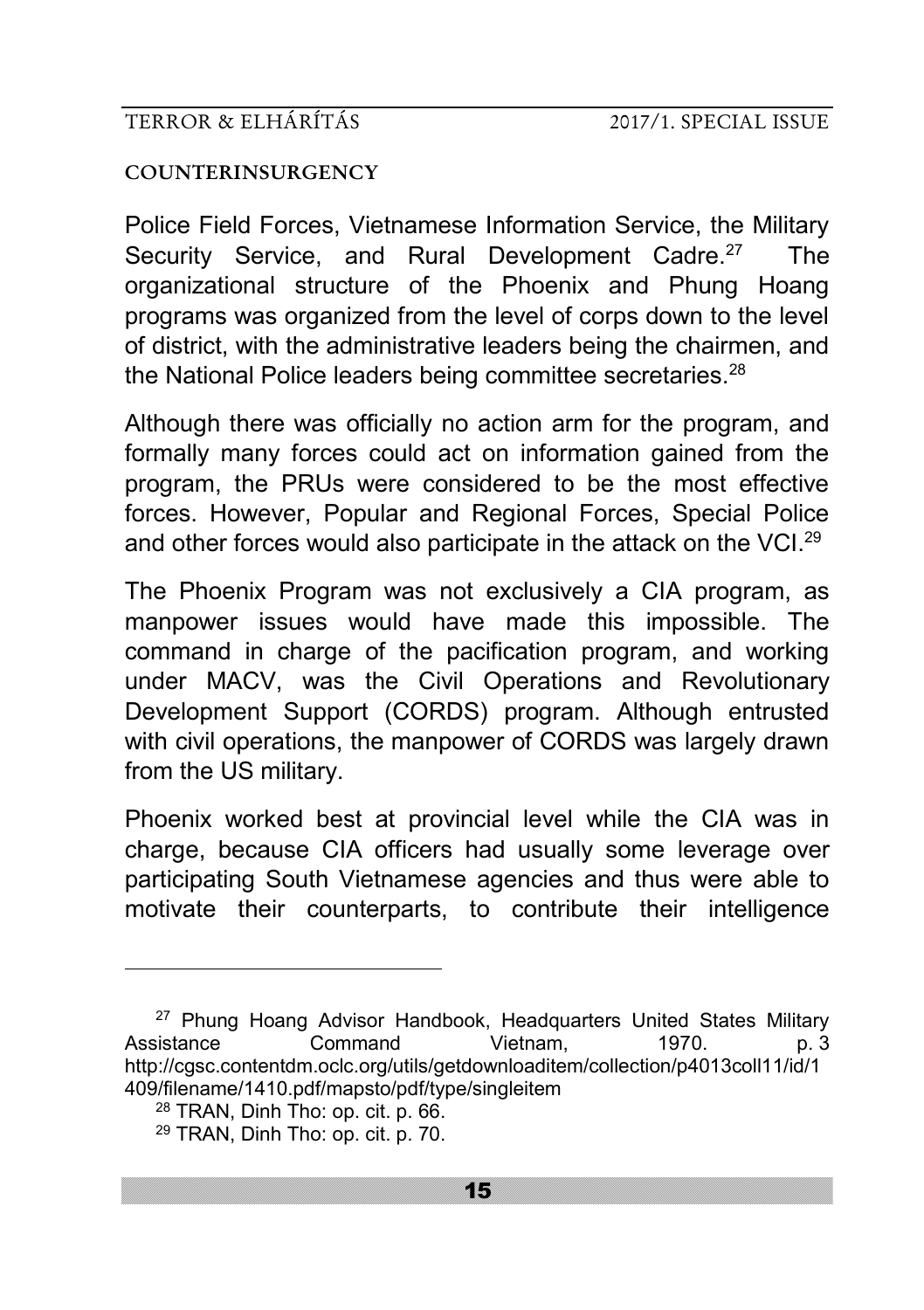#### **COUNTERINSURGENCY**

Police Field Forces, Vietnamese Information Service, the Military Security Service, and Rural Development Cadre.<sup>27</sup> The organizational structure of the Phoenix and Phung Hoang programs was organized from the level of corps down to the level of district, with the administrative leaders being the chairmen, and the National Police leaders being committee secretaries.<sup>28</sup>

Although there was officially no action arm for the program, and formally many forces could act on information gained from the program, the PRUs were considered to be the most effective forces. However, Popular and Regional Forces, Special Police and other forces would also participate in the attack on the VCI.<sup>29</sup>

The Phoenix Program was not exclusively a CIA program, as manpower issues would have made this impossible. The command in charge of the pacification program, and working under MACV, was the Civil Operations and Revolutionary Development Support (CORDS) program. Although entrusted with civil operations, the manpower of CORDS was largely drawn from the US military.

Phoenix worked best at provincial level while the CIA was in charge, because CIA officers had usually some leverage over participating South Vietnamese agencies and thus were able to motivate their counterparts, to contribute their intelligence

<sup>&</sup>lt;sup>27</sup> Phung Hoang Advisor Handbook, Headquarters United States Military<br>3 Sistance Command Vietnam. 1970, p. 3 Assistance Command Vietnam, 1970. p. 3 http://cgsc.contentdm.oclc.org/utils/getdownloaditem/collection/p4013coll11/id/1 409/filename/1410.pdf/mapsto/pdf/type/singleitem

<sup>28</sup> TRAN, Dinh Tho: op. cit. p. 66.

<sup>29</sup> TRAN, Dinh Tho: op. cit. p. 70.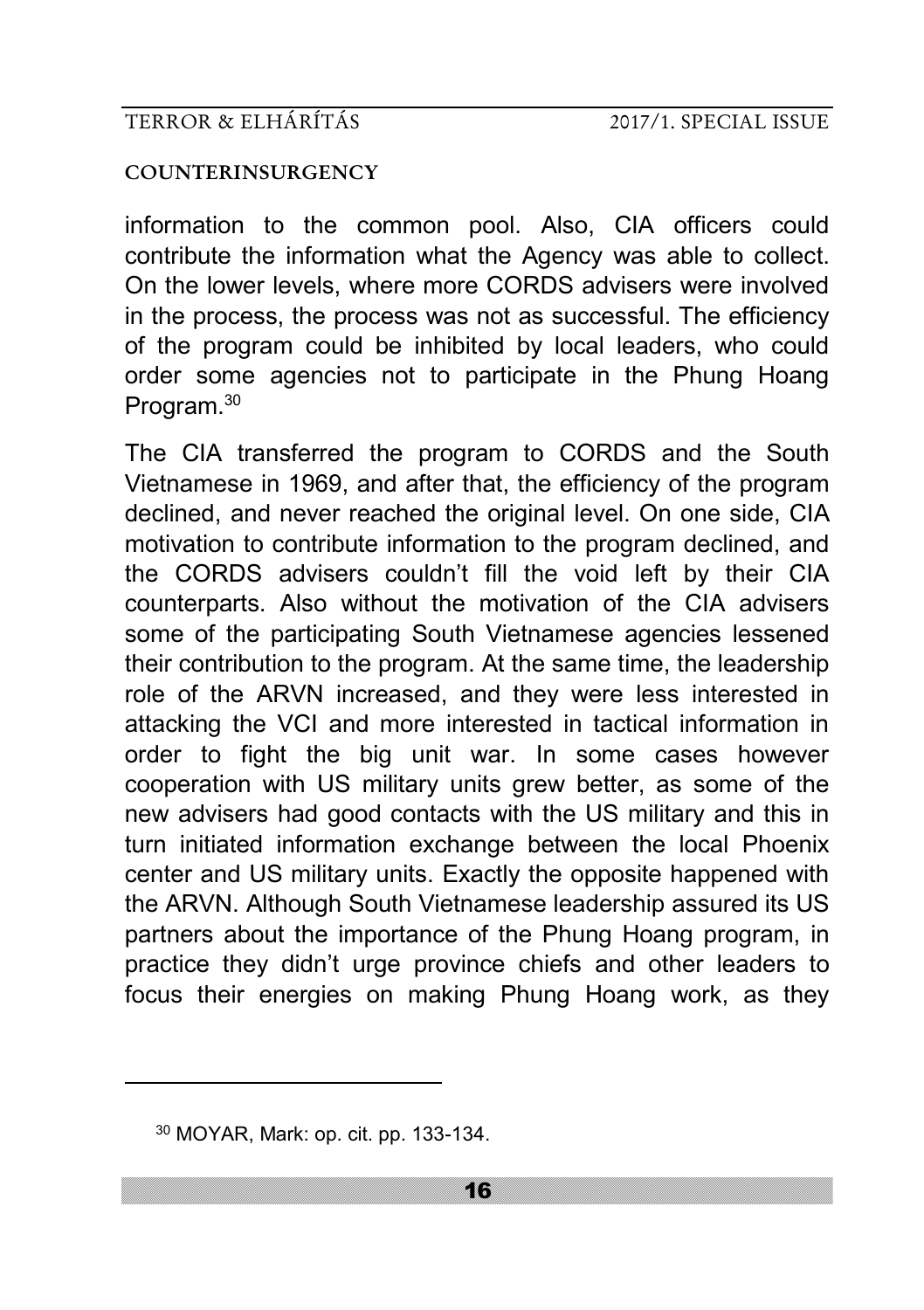#### **COUNTERINSURGENCY**

information to the common pool. Also, CIA officers could contribute the information what the Agency was able to collect. On the lower levels, where more CORDS advisers were involved in the process, the process was not as successful. The efficiency of the program could be inhibited by local leaders, who could order some agencies not to participate in the Phung Hoang Program.<sup>30</sup>

The CIA transferred the program to CORDS and the South Vietnamese in 1969, and after that, the efficiency of the program declined, and never reached the original level. On one side, CIA motivation to contribute information to the program declined, and the CORDS advisers couldn't fill the void left by their CIA counterparts. Also without the motivation of the CIA advisers some of the participating South Vietnamese agencies lessened their contribution to the program. At the same time, the leadership role of the ARVN increased, and they were less interested in attacking the VCI and more interested in tactical information in order to fight the big unit war. In some cases however cooperation with US military units grew better, as some of the new advisers had good contacts with the US military and this in turn initiated information exchange between the local Phoenix center and US military units. Exactly the opposite happened with the ARVN. Although South Vietnamese leadership assured its US partners about the importance of the Phung Hoang program, in practice they didn't urge province chiefs and other leaders to focus their energies on making Phung Hoang work, as they

<sup>30</sup> MOYAR, Mark: op. cit. pp. 133-134.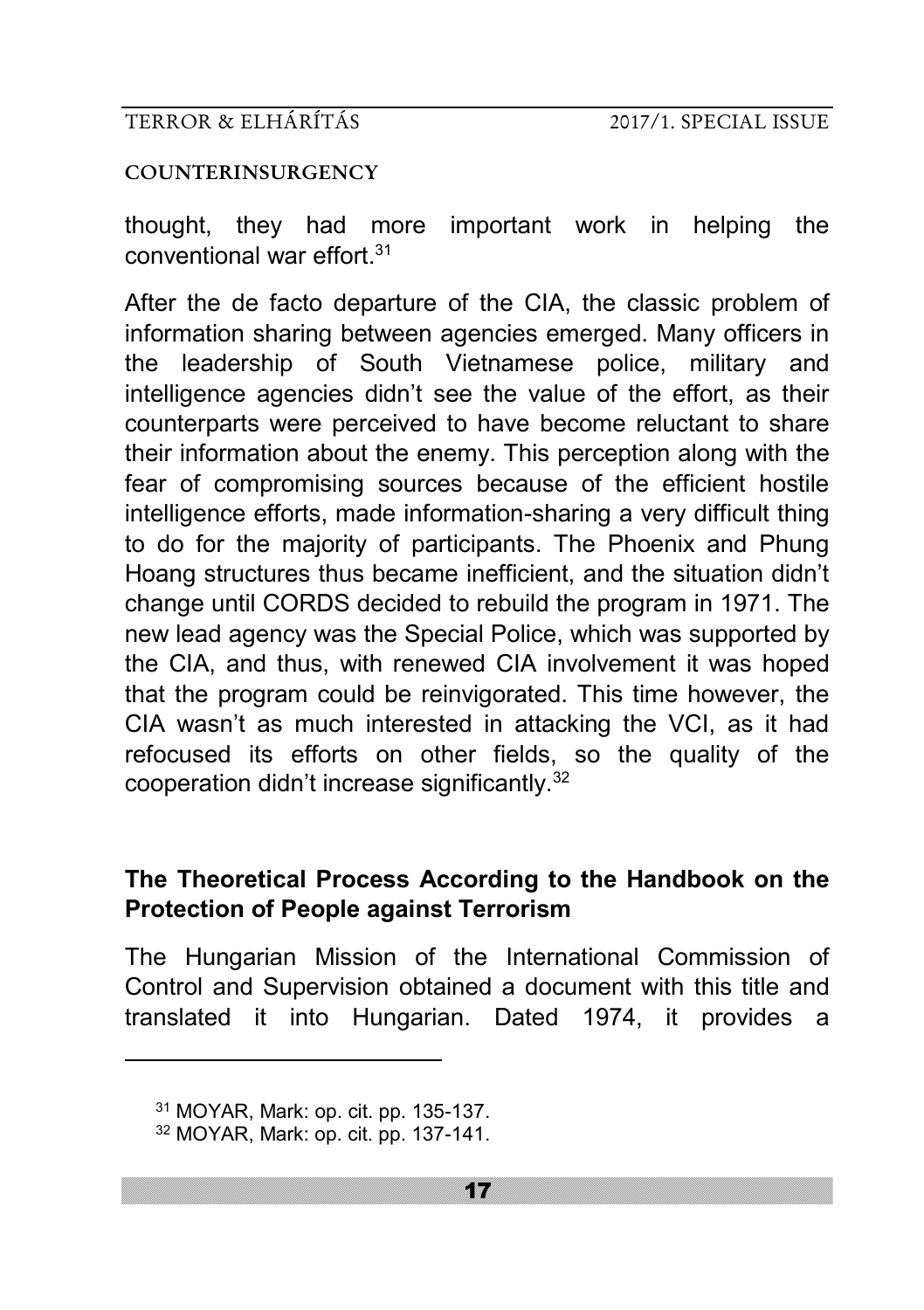#### **COUNTERINSURGENCY**

thought, they had more important work in helping the conventional war effort 31

After the de facto departure of the CIA, the classic problem of information sharing between agencies emerged. Many officers in the leadership of South Vietnamese police, military and intelligence agencies didn't see the value of the effort, as their counterparts were perceived to have become reluctant to share their information about the enemy. This perception along with the fear of compromising sources because of the efficient hostile intelligence efforts, made information-sharing a very difficult thing to do for the majority of participants. The Phoenix and Phung Hoang structures thus became inefficient, and the situation didn't change until CORDS decided to rebuild the program in 1971. The new lead agency was the Special Police, which was supported by the CIA, and thus, with renewed CIA involvement it was hoped that the program could be reinvigorated. This time however, the CIA wasn't as much interested in attacking the VCI, as it had refocused its efforts on other fields, so the quality of the cooperation didn't increase significantly.<sup>32</sup>

# **The Theoretical Process According to the Handbook on the Protection of People against Terrorism**

The Hungarian Mission of the International Commission of Control and Supervision obtained a document with this title and translated it into Hungarian. Dated 1974, it provides a

<sup>31</sup> MOYAR, Mark: op. cit. pp. 135-137. <sup>32</sup> MOYAR, Mark: op. cit. pp. 137-141.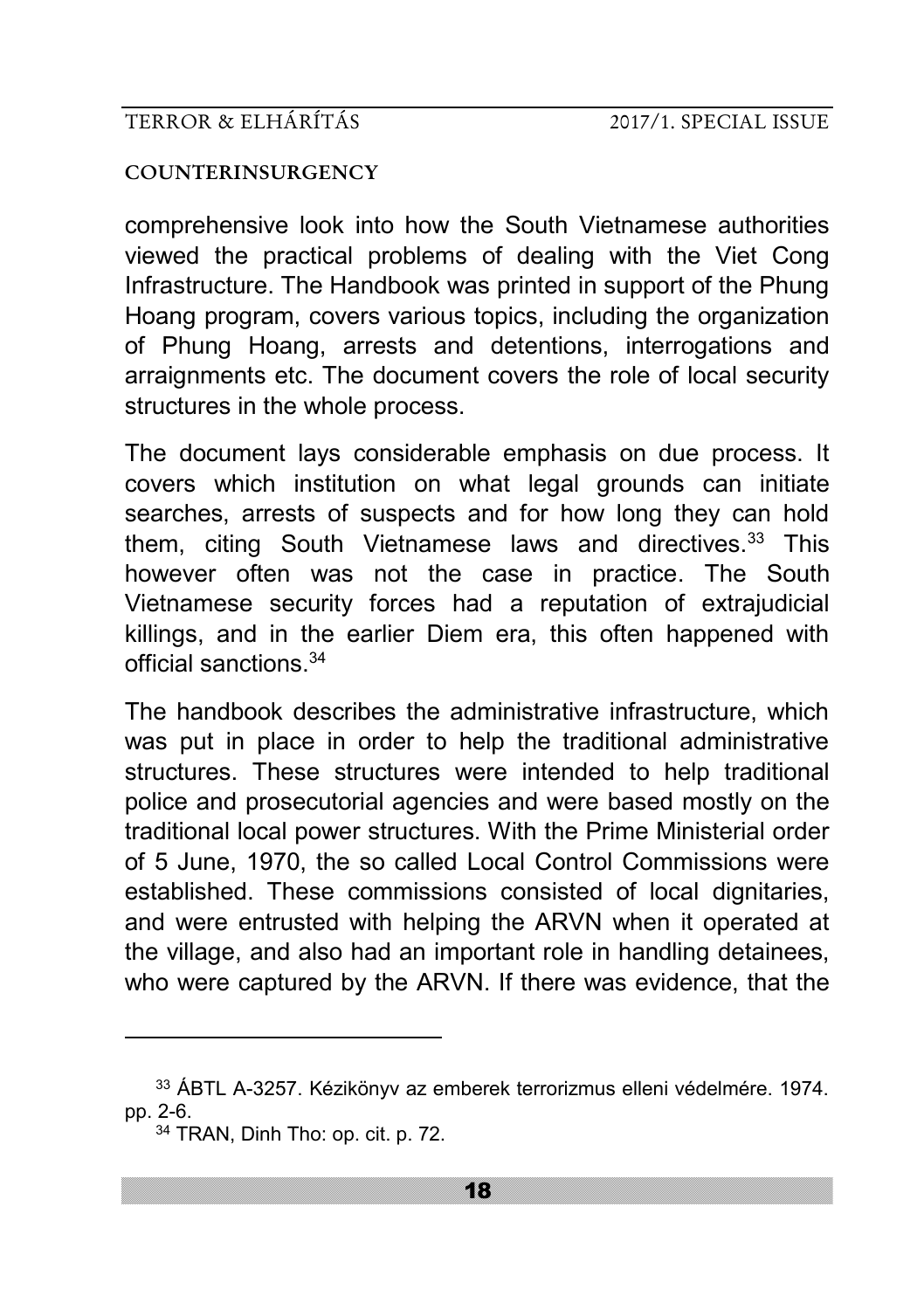#### **COUNTERINSURGENCY**

comprehensive look into how the South Vietnamese authorities viewed the practical problems of dealing with the Viet Cong Infrastructure. The Handbook was printed in support of the Phung Hoang program, covers various topics, including the organization of Phung Hoang, arrests and detentions, interrogations and arraignments etc. The document covers the role of local security structures in the whole process.

The document lays considerable emphasis on due process. It covers which institution on what legal grounds can initiate searches, arrests of suspects and for how long they can hold them, citing South Vietnamese laws and directives.<sup>33</sup> This however often was not the case in practice. The South Vietnamese security forces had a reputation of extrajudicial killings, and in the earlier Diem era, this often happened with official sanctions.<sup>34</sup>

The handbook describes the administrative infrastructure, which was put in place in order to help the traditional administrative structures. These structures were intended to help traditional police and prosecutorial agencies and were based mostly on the traditional local power structures. With the Prime Ministerial order of 5 June, 1970, the so called Local Control Commissions were established. These commissions consisted of local dignitaries, and were entrusted with helping the ARVN when it operated at the village, and also had an important role in handling detainees, who were captured by the ARVN. If there was evidence, that the

<sup>33</sup> ÁBTL A-3257. Kézikönyv az emberek terrorizmus elleni védelmére. 1974. pp. 2-6.

<sup>34</sup> TRAN, Dinh Tho: op. cit. p. 72.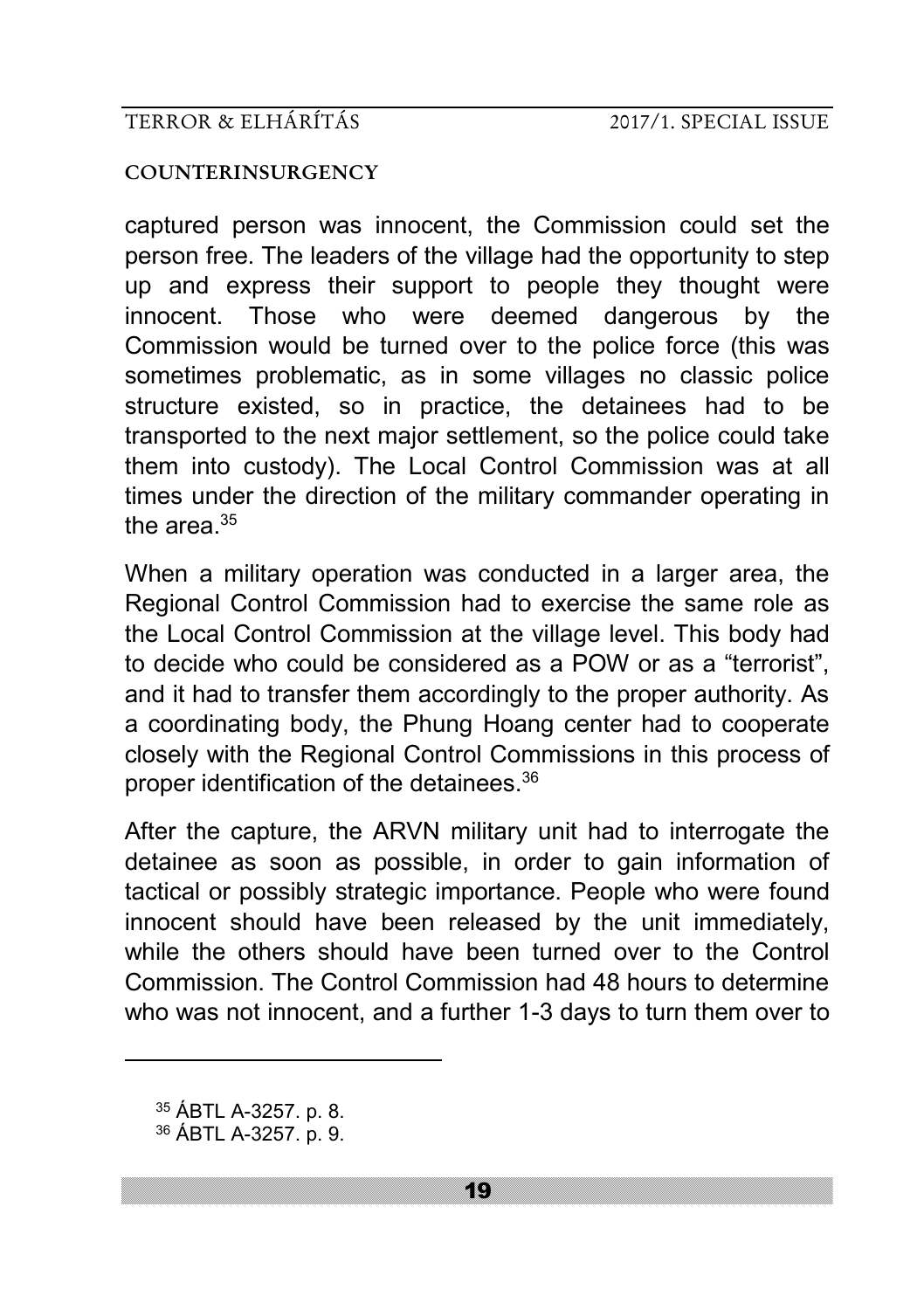#### **COUNTERINSURGENCY**

captured person was innocent, the Commission could set the person free. The leaders of the village had the opportunity to step up and express their support to people they thought were innocent. Those who were deemed dangerous by the Commission would be turned over to the police force (this was sometimes problematic, as in some villages no classic police structure existed, so in practice, the detainees had to be transported to the next major settlement, so the police could take them into custody). The Local Control Commission was at all times under the direction of the military commander operating in the area. $35$ 

When a military operation was conducted in a larger area, the Regional Control Commission had to exercise the same role as the Local Control Commission at the village level. This body had to decide who could be considered as a POW or as a "terrorist", and it had to transfer them accordingly to the proper authority. As a coordinating body, the Phung Hoang center had to cooperate closely with the Regional Control Commissions in this process of proper identification of the detainees.<sup>36</sup>

After the capture, the ARVN military unit had to interrogate the detainee as soon as possible, in order to gain information of tactical or possibly strategic importance. People who were found innocent should have been released by the unit immediately, while the others should have been turned over to the Control Commission. The Control Commission had 48 hours to determine who was not innocent, and a further 1-3 days to turn them over to

<sup>35</sup> ÁBTL A-3257. p. 8.

<sup>36</sup> ÁBTL A-3257. p. 9.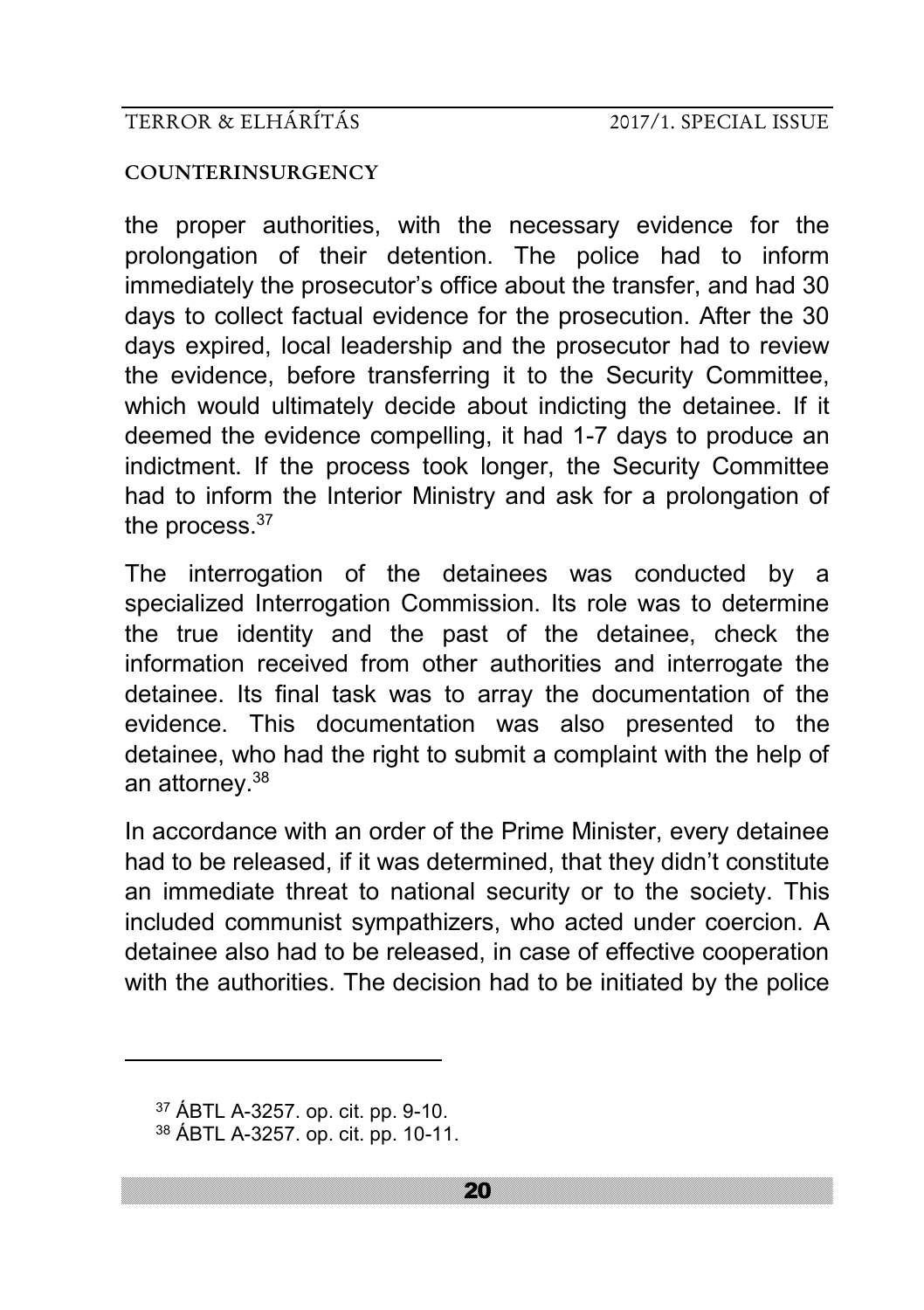#### **COUNTERINSURGENCY**

the proper authorities, with the necessary evidence for the prolongation of their detention. The police had to inform immediately the prosecutor's office about the transfer, and had 30 days to collect factual evidence for the prosecution. After the 30 days expired, local leadership and the prosecutor had to review the evidence, before transferring it to the Security Committee, which would ultimately decide about indicting the detainee. If it deemed the evidence compelling, it had 1-7 days to produce an indictment. If the process took longer, the Security Committee had to inform the Interior Ministry and ask for a prolongation of the process.<sup>37</sup>

The interrogation of the detainees was conducted by a specialized Interrogation Commission. Its role was to determine the true identity and the past of the detainee, check the information received from other authorities and interrogate the detainee. Its final task was to array the documentation of the evidence. This documentation was also presented to the detainee, who had the right to submit a complaint with the help of an attorney.<sup>38</sup>

In accordance with an order of the Prime Minister, every detainee had to be released, if it was determined, that they didn't constitute an immediate threat to national security or to the society. This included communist sympathizers, who acted under coercion. A detainee also had to be released, in case of effective cooperation with the authorities. The decision had to be initiated by the police

<sup>37</sup> ÁBTL A-3257. op. cit. pp. 9-10.

<sup>38</sup> ÁBTL A-3257. op. cit. pp. 10-11.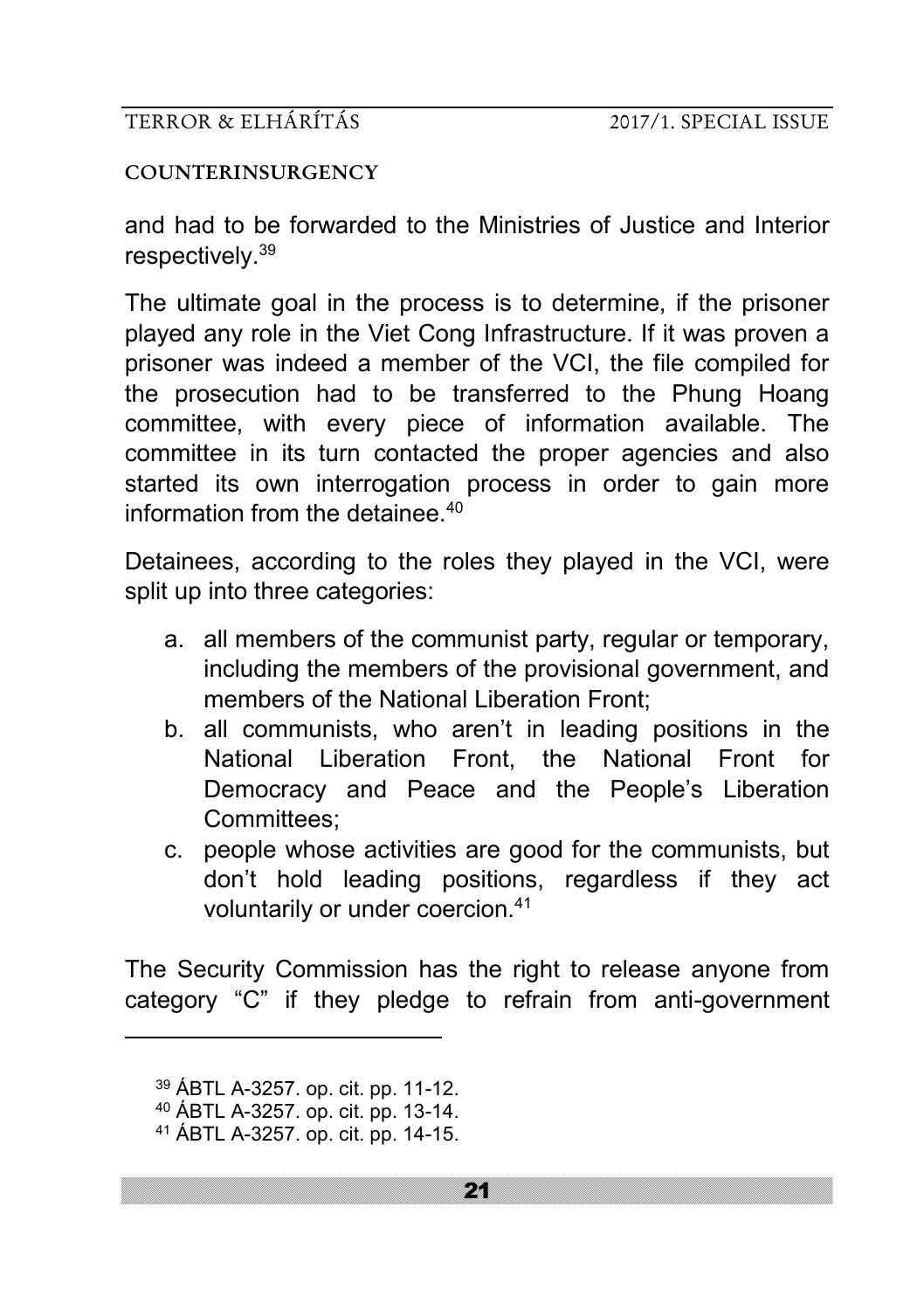#### **COUNTERINSURGENCY**

and had to be forwarded to the Ministries of Justice and Interior respectively.<sup>39</sup>

The ultimate goal in the process is to determine, if the prisoner played any role in the Viet Cong Infrastructure. If it was proven a prisoner was indeed a member of the VCI, the file compiled for the prosecution had to be transferred to the Phung Hoang committee, with every piece of information available. The committee in its turn contacted the proper agencies and also started its own interrogation process in order to gain more information from the detainee  $40$ 

Detainees, according to the roles they played in the VCI, were split up into three categories:

- a. all members of the communist party, regular or temporary, including the members of the provisional government, and members of the National Liberation Front:
- b. all communists, who aren't in leading positions in the National Liberation Front, the National Front for Democracy and Peace and the People's Liberation Committees;
- c. people whose activities are good for the communists, but don't hold leading positions, regardless if they act voluntarily or under coercion.<sup>41</sup>

The Security Commission has the right to release anyone from category "C" if they pledge to refrain from anti-government

<sup>39</sup> ÁBTL A-3257. op. cit. pp. 11-12.

<sup>40</sup> ÁBTL A-3257. op. cit. pp. 13-14.

<sup>41</sup> ÁBTL A-3257. op. cit. pp. 14-15.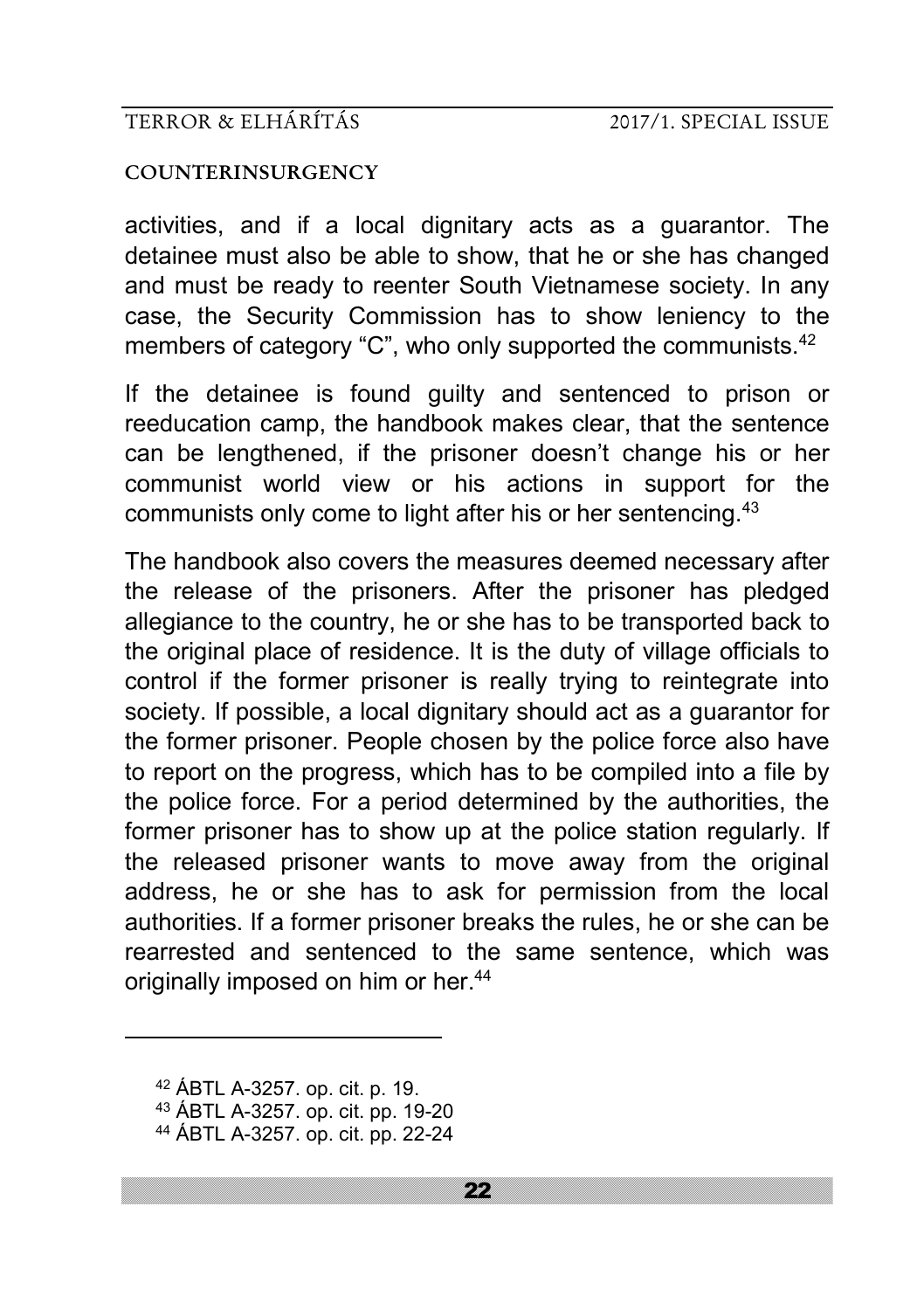#### **COUNTERINSURGENCY**

activities, and if a local dignitary acts as a guarantor. The detainee must also be able to show, that he or she has changed and must be ready to reenter South Vietnamese society. In any case, the Security Commission has to show leniency to the members of category "C", who only supported the communists.<sup>42</sup>

If the detainee is found guilty and sentenced to prison or reeducation camp, the handbook makes clear, that the sentence can be lengthened, if the prisoner doesn't change his or her communist world view or his actions in support for the communists only come to light after his or her sentencing.<sup>43</sup>

The handbook also covers the measures deemed necessary after the release of the prisoners. After the prisoner has pledged allegiance to the country, he or she has to be transported back to the original place of residence. It is the duty of village officials to control if the former prisoner is really trying to reintegrate into society. If possible, a local dignitary should act as a guarantor for the former prisoner. People chosen by the police force also have to report on the progress, which has to be compiled into a file by the police force. For a period determined by the authorities, the former prisoner has to show up at the police station regularly. If the released prisoner wants to move away from the original address, he or she has to ask for permission from the local authorities. If a former prisoner breaks the rules, he or she can be rearrested and sentenced to the same sentence, which was originally imposed on him or her.<sup>44</sup>

<sup>42</sup> ÁBTL A-3257. op. cit. p. 19.

<sup>43</sup> ÁBTL A-3257. op. cit. pp. 19-20

<sup>44</sup> ÁBTL A-3257. op. cit. pp. 22-24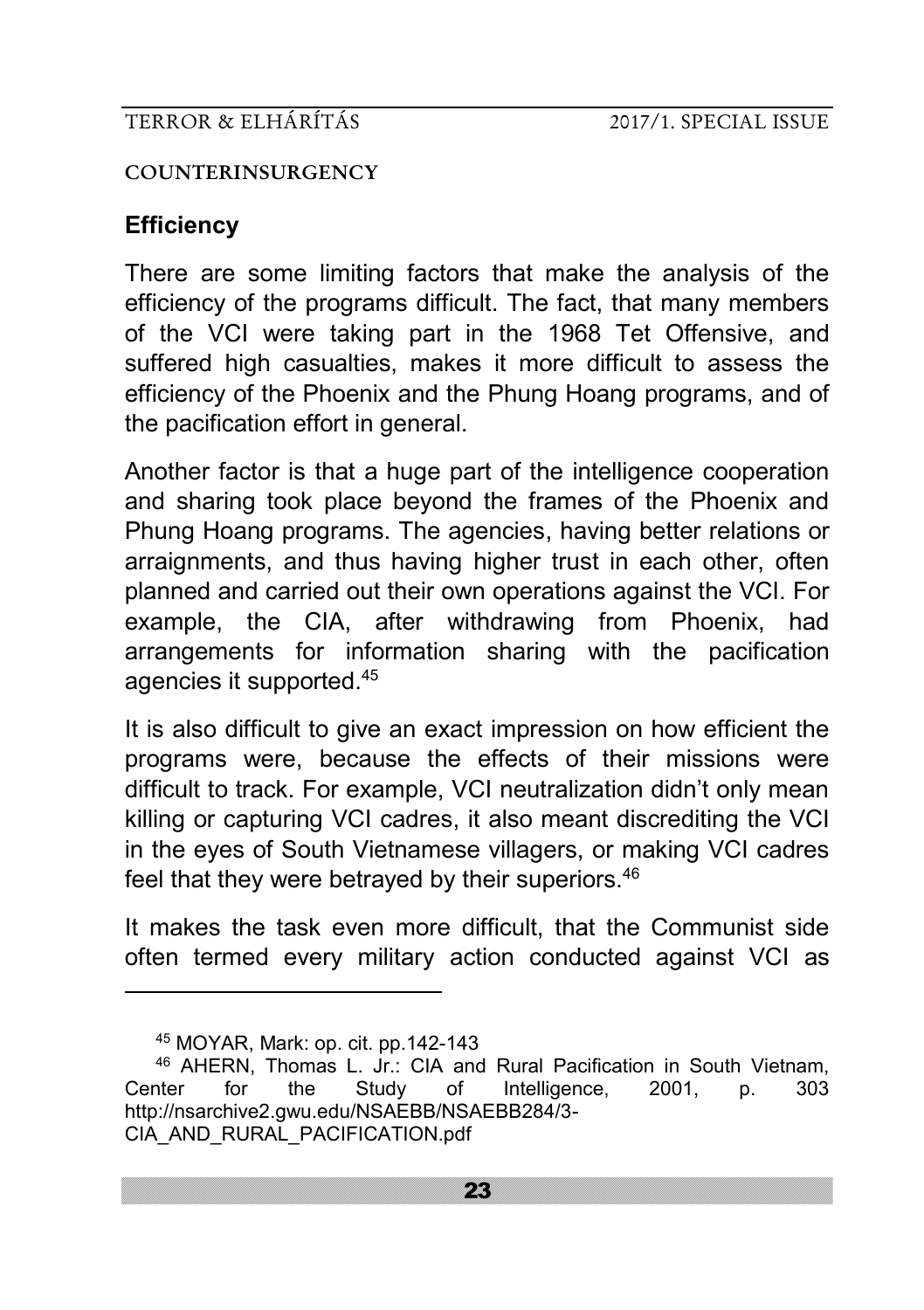#### **COUNTERINSURGENCY**

# **Efficiency**

There are some limiting factors that make the analysis of the efficiency of the programs difficult. The fact, that many members of the VCI were taking part in the 1968 Tet Offensive, and suffered high casualties, makes it more difficult to assess the efficiency of the Phoenix and the Phung Hoang programs, and of the pacification effort in general.

Another factor is that a huge part of the intelligence cooperation and sharing took place beyond the frames of the Phoenix and Phung Hoang programs. The agencies, having better relations or arraignments, and thus having higher trust in each other, often planned and carried out their own operations against the VCI. For example, the CIA, after withdrawing from Phoenix, had arrangements for information sharing with the pacification agencies it supported.<sup>45</sup>

It is also difficult to give an exact impression on how efficient the programs were, because the effects of their missions were difficult to track. For example, VCI neutralization didn't only mean killing or capturing VCI cadres, it also meant discrediting the VCI in the eyes of South Vietnamese villagers, or making VCI cadres feel that they were betrayed by their superiors.<sup>46</sup>

It makes the task even more difficult, that the Communist side often termed every military action conducted against VCI as

<sup>45</sup> MOYAR, Mark: op. cit. pp.142-143

<sup>46</sup> AHERN, Thomas L. Jr.: CIA and Rural Pacification in South Vietnam, Center for the Study of Intelligence, 2001, p. 303 http://nsarchive2.gwu.edu/NSAEBB/NSAEBB284/3- CIA\_AND\_RURAL\_PACIFICATION.pdf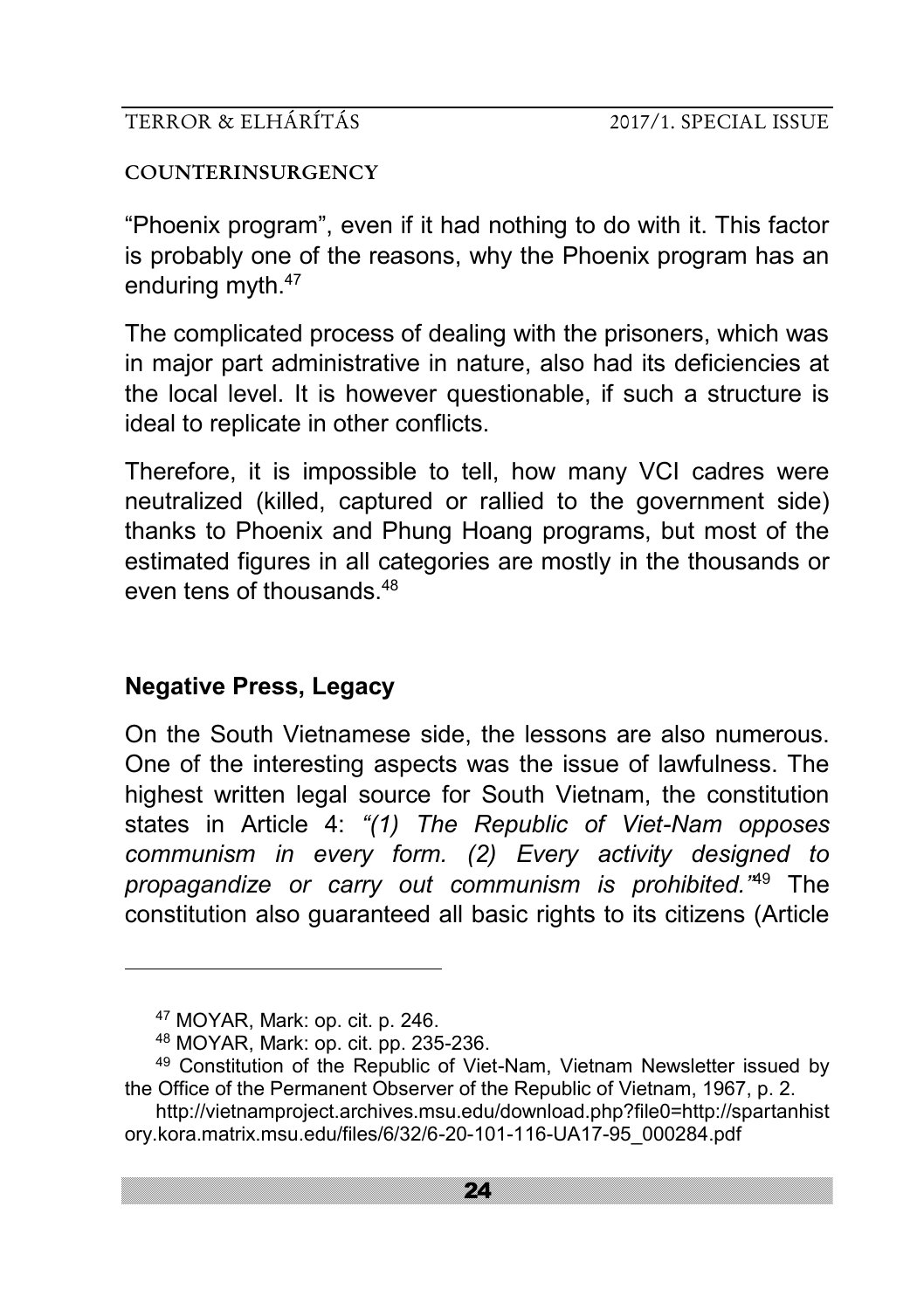#### **COUNTERINSURGENCY**

"Phoenix program", even if it had nothing to do with it. This factor is probably one of the reasons, why the Phoenix program has an enduring myth.<sup>47</sup>

The complicated process of dealing with the prisoners, which was in major part administrative in nature, also had its deficiencies at the local level. It is however questionable, if such a structure is ideal to replicate in other conflicts.

Therefore, it is impossible to tell, how many VCI cadres were neutralized (killed, captured or rallied to the government side) thanks to Phoenix and Phung Hoang programs, but most of the estimated figures in all categories are mostly in the thousands or even tens of thousands  $48$ 

# **Negative Press, Legacy**

On the South Vietnamese side, the lessons are also numerous. One of the interesting aspects was the issue of lawfulness. The highest written legal source for South Vietnam, the constitution states in Article 4: *"(1) The Republic of Viet-Nam opposes communism in every form. (2) Every activity designed to propagandize or carry out communism is prohibited."*<sup>49</sup> The constitution also guaranteed all basic rights to its citizens (Article

<sup>47</sup> MOYAR, Mark: op. cit. p. 246.

<sup>48</sup> MOYAR, Mark: op. cit. pp. 235-236.

<sup>49</sup> Constitution of the Republic of Viet-Nam, Vietnam Newsletter issued by the Office of the Permanent Observer of the Republic of Vietnam, 1967, p. 2.

http://vietnamproject.archives.msu.edu/download.php?file0=http://spartanhist ory.kora.matrix.msu.edu/files/6/32/6-20-101-116-UA17-95\_000284.pdf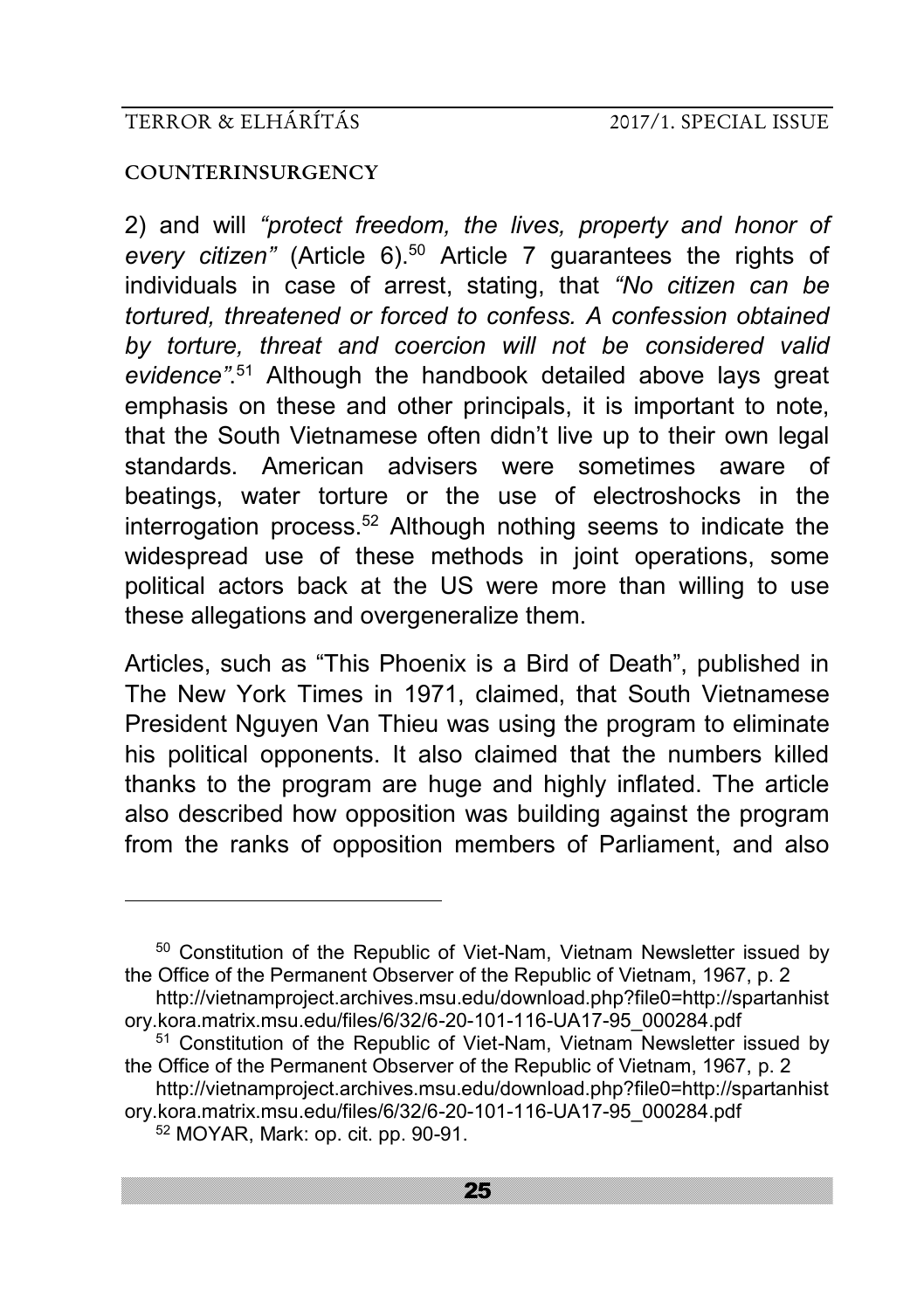#### **COUNTERINSURGENCY**

<u>.</u>

2) and will *"protect freedom, the lives, property and honor of every citizen"* (Article 6).<sup>50</sup> Article 7 guarantees the rights of individuals in case of arrest, stating, that *"No citizen can be tortured, threatened or forced to confess. A confession obtained by torture, threat and coercion will not be considered valid evidence"*. <sup>51</sup> Although the handbook detailed above lays great emphasis on these and other principals, it is important to note, that the South Vietnamese often didn't live up to their own legal standards. American advisers were sometimes aware of beatings, water torture or the use of electroshocks in the interrogation process.<sup>52</sup> Although nothing seems to indicate the widespread use of these methods in joint operations, some political actors back at the US were more than willing to use these allegations and overgeneralize them.

Articles, such as "This Phoenix is a Bird of Death", published in The New York Times in 1971, claimed, that South Vietnamese President Nguyen Van Thieu was using the program to eliminate his political opponents. It also claimed that the numbers killed thanks to the program are huge and highly inflated. The article also described how opposition was building against the program from the ranks of opposition members of Parliament, and also

<sup>50</sup> Constitution of the Republic of Viet-Nam, Vietnam Newsletter issued by the Office of the Permanent Observer of the Republic of Vietnam, 1967, p. 2

- <sup>51</sup> Constitution of the Republic of Viet-Nam, Vietnam Newsletter issued by the Office of the Permanent Observer of the Republic of Vietnam, 1967, p. 2
- http://vietnamproject.archives.msu.edu/download.php?file0=http://spartanhist ory.kora.matrix.msu.edu/files/6/32/6-20-101-116-UA17-95\_000284.pdf <sup>52</sup> MOYAR, Mark: op. cit. pp. 90-91.

http://vietnamproject.archives.msu.edu/download.php?file0=http://spartanhist ory.kora.matrix.msu.edu/files/6/32/6-20-101-116-UA17-95\_000284.pdf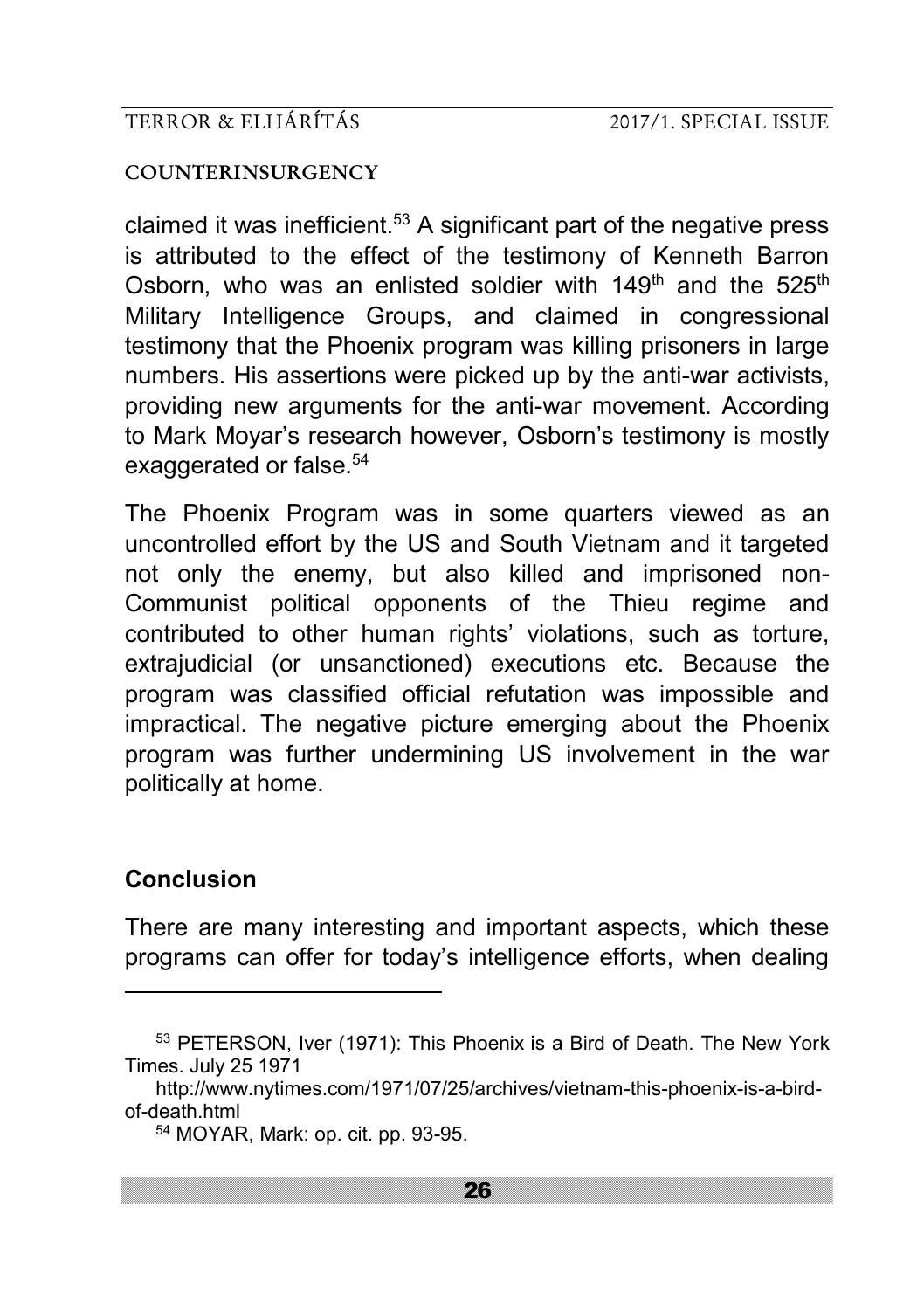#### **COUNTERINSURGENCY**

claimed it was inefficient.<sup>53</sup> A significant part of the negative press is attributed to the effect of the testimony of Kenneth Barron Osborn, who was an enlisted soldier with  $149<sup>th</sup>$  and the  $525<sup>th</sup>$ Military Intelligence Groups, and claimed in congressional testimony that the Phoenix program was killing prisoners in large numbers. His assertions were picked up by the anti-war activists, providing new arguments for the anti-war movement. According to Mark Moyar's research however, Osborn's testimony is mostly exaggerated or false.<sup>54</sup>

The Phoenix Program was in some quarters viewed as an uncontrolled effort by the US and South Vietnam and it targeted not only the enemy, but also killed and imprisoned non-Communist political opponents of the Thieu regime and contributed to other human rights' violations, such as torture, extrajudicial (or unsanctioned) executions etc. Because the program was classified official refutation was impossible and impractical. The negative picture emerging about the Phoenix program was further undermining US involvement in the war politically at home.

# **Conclusion**

-

There are many interesting and important aspects, which these programs can offer for today's intelligence efforts, when dealing

<sup>53</sup> PETERSON, Iver (1971): This Phoenix is a Bird of Death. The New York Times. July 25 1971

http://www.nytimes.com/1971/07/25/archives/vietnam-this-phoenix-is-a-birdof-death.html

<sup>54</sup> MOYAR, Mark: op. cit. pp. 93-95.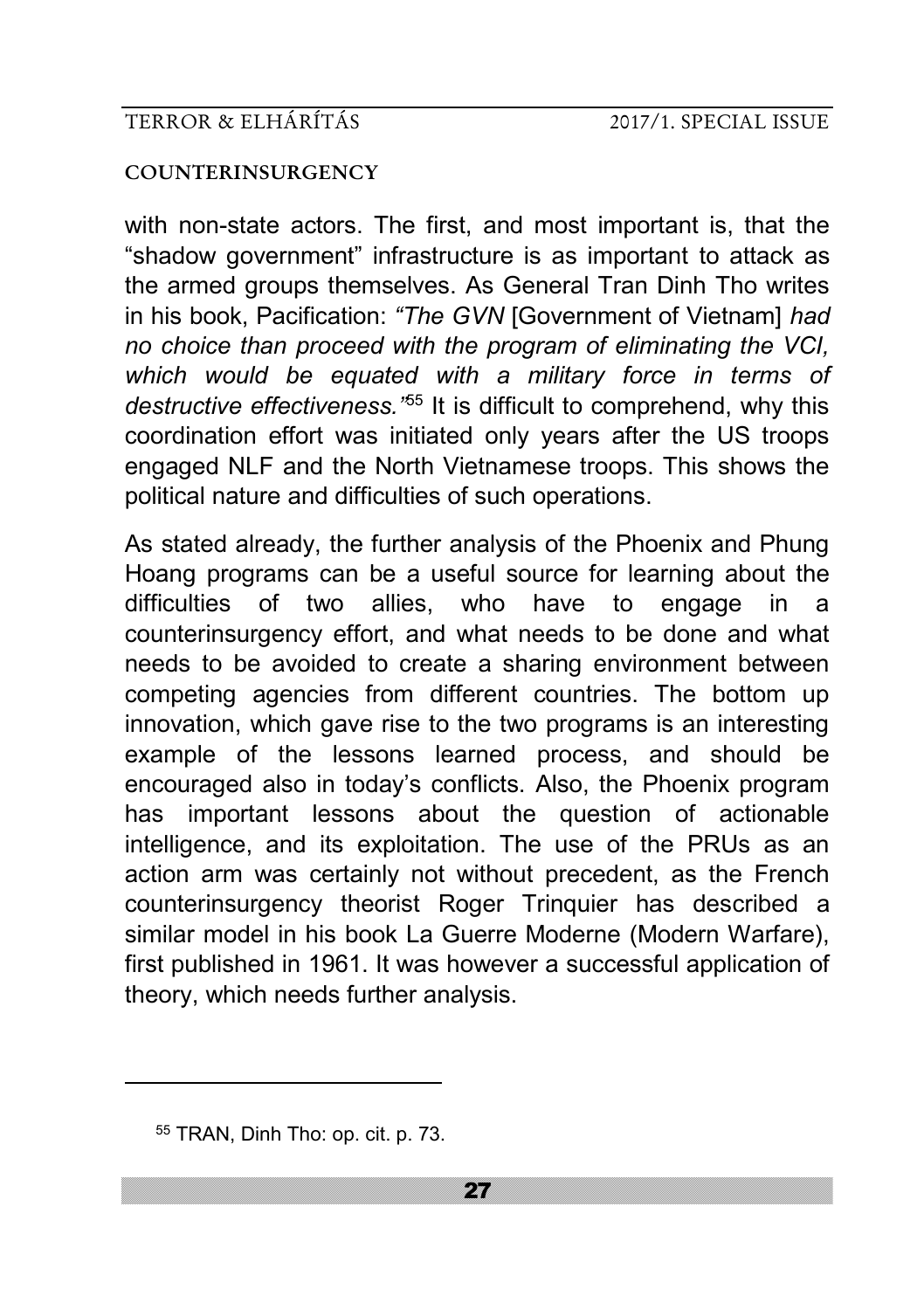#### **COUNTERINSURGENCY**

with non-state actors. The first, and most important is, that the "shadow government" infrastructure is as important to attack as the armed groups themselves. As General Tran Dinh Tho writes in his book, Pacification: *"The GVN* [Government of Vietnam] *had no choice than proceed with the program of eliminating the VCI, which would be equated with a military force in terms of destructive effectiveness."*<sup>55</sup> It is difficult to comprehend, why this coordination effort was initiated only years after the US troops engaged NLF and the North Vietnamese troops. This shows the political nature and difficulties of such operations.

As stated already, the further analysis of the Phoenix and Phung Hoang programs can be a useful source for learning about the difficulties of two allies, who have to engage in a counterinsurgency effort, and what needs to be done and what needs to be avoided to create a sharing environment between competing agencies from different countries. The bottom up innovation, which gave rise to the two programs is an interesting example of the lessons learned process, and should be encouraged also in today's conflicts. Also, the Phoenix program has important lessons about the question of actionable intelligence, and its exploitation. The use of the PRUs as an action arm was certainly not without precedent, as the French counterinsurgency theorist Roger Trinquier has described a similar model in his book La Guerre Moderne (Modern Warfare), first published in 1961. It was however a successful application of theory, which needs further analysis.

<sup>55</sup> TRAN, Dinh Tho: op. cit. p. 73.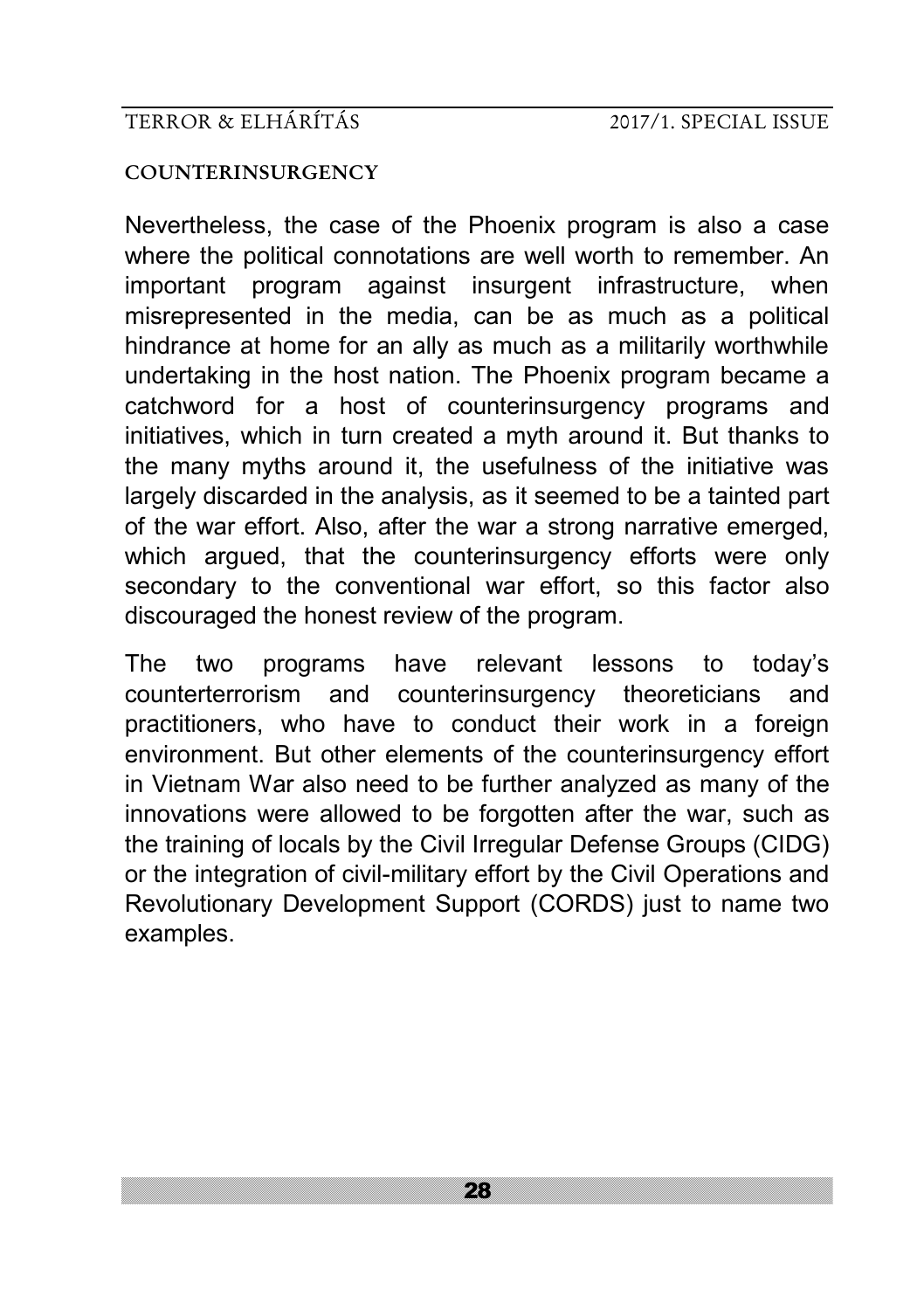#### **COUNTERINSURGENCY**

Nevertheless, the case of the Phoenix program is also a case where the political connotations are well worth to remember. An important program against insurgent infrastructure, when misrepresented in the media, can be as much as a political hindrance at home for an ally as much as a militarily worthwhile undertaking in the host nation. The Phoenix program became a catchword for a host of counterinsurgency programs and initiatives, which in turn created a myth around it. But thanks to the many myths around it, the usefulness of the initiative was largely discarded in the analysis, as it seemed to be a tainted part of the war effort. Also, after the war a strong narrative emerged, which argued, that the counterinsurgency efforts were only secondary to the conventional war effort, so this factor also discouraged the honest review of the program.

The two programs have relevant lessons to today's counterterrorism and counterinsurgency theoreticians and practitioners, who have to conduct their work in a foreign environment. But other elements of the counterinsurgency effort in Vietnam War also need to be further analyzed as many of the innovations were allowed to be forgotten after the war, such as the training of locals by the Civil Irregular Defense Groups (CIDG) or the integration of civil-military effort by the Civil Operations and Revolutionary Development Support (CORDS) just to name two examples.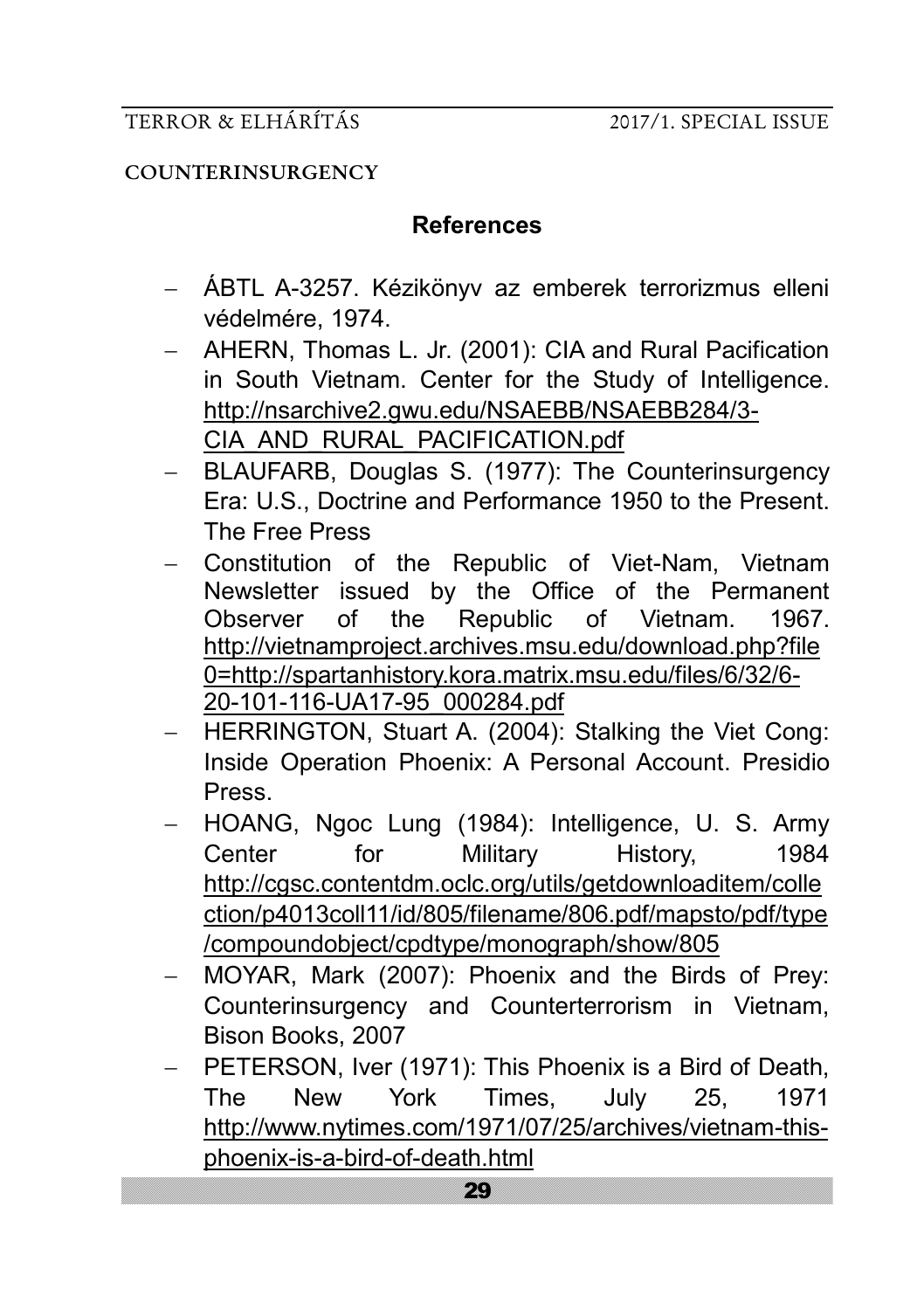#### **COUNTERINSURGENCY**

# **References**

- ÁBTL A-3257. Kézikönyv az emberek terrorizmus elleni védelmére, 1974.
- AHERN, Thomas L. Jr. (2001): CIA and Rural Pacification in South Vietnam. Center for the Study of Intelligence. [http://nsarchive2.gwu.edu/NSAEBB/NSAEBB284/3](http://nsarchive2.gwu.edu/NSAEBB/NSAEBB284/3-CIA_AND_RURAL_PACIFICATION.pdf)- [CIA\\_AND\\_RURAL\\_PACIFICATION.pdf](http://nsarchive2.gwu.edu/NSAEBB/NSAEBB284/3-CIA_AND_RURAL_PACIFICATION.pdf)
- BLAUFARB, Douglas S. (1977): The Counterinsurgency Era: U.S., Doctrine and Performance 1950 to the Present. The Free Press
- Constitution of the Republic of Viet-Nam, Vietnam Newsletter issued by the Office of the Permanent Observer of the Republic of Vietnam. 1967. http://vietnamproject.archives.msu.edu/download.php?file 0=http://spartanhistory.kora.matrix.msu.edu/files/6/32/6- 20-101-116-UA17-95\_000284.pdf
- HERRINGTON, Stuart A. (2004): Stalking the Viet Cong: Inside Operation Phoenix: A Personal Account. Presidio Press.
- HOANG, Ngoc Lung (1984): Intelligence, U. S. Army Center for Military History, 1984 [http://cgsc.contentdm.oclc.org/utils/getdownloaditem/colle](http://cgsc.contentdm.oclc.org/utils/getdownloaditem/collection/p4013coll11/id/805/filename/806.pdf/mapsto/pdf/type/compoundobject/cpdtype/monograph/show/805) [ction/p4013coll11/id/805/filename/806.pdf/mapsto/pdf/type](http://cgsc.contentdm.oclc.org/utils/getdownloaditem/collection/p4013coll11/id/805/filename/806.pdf/mapsto/pdf/type/compoundobject/cpdtype/monograph/show/805) [/compoundobject/cpdtype/monograph/show/805](http://cgsc.contentdm.oclc.org/utils/getdownloaditem/collection/p4013coll11/id/805/filename/806.pdf/mapsto/pdf/type/compoundobject/cpdtype/monograph/show/805)
- MOYAR, Mark (2007): Phoenix and the Birds of Prey: Counterinsurgency and Counterterrorism in Vietnam, Bison Books, 2007
- PETERSON, Iver (1971): This Phoenix is a Bird of Death, The New York Times, July 25, 1971 [http://www.nytimes.com/1971/07/25/archives/vietnam](http://www.nytimes.com/1971/07/25/archives/vietnam-this-phoenix-is-a-bird-of-death.html)-thisphoenix-is-a-bird-of-[death.html](http://www.nytimes.com/1971/07/25/archives/vietnam-this-phoenix-is-a-bird-of-death.html)